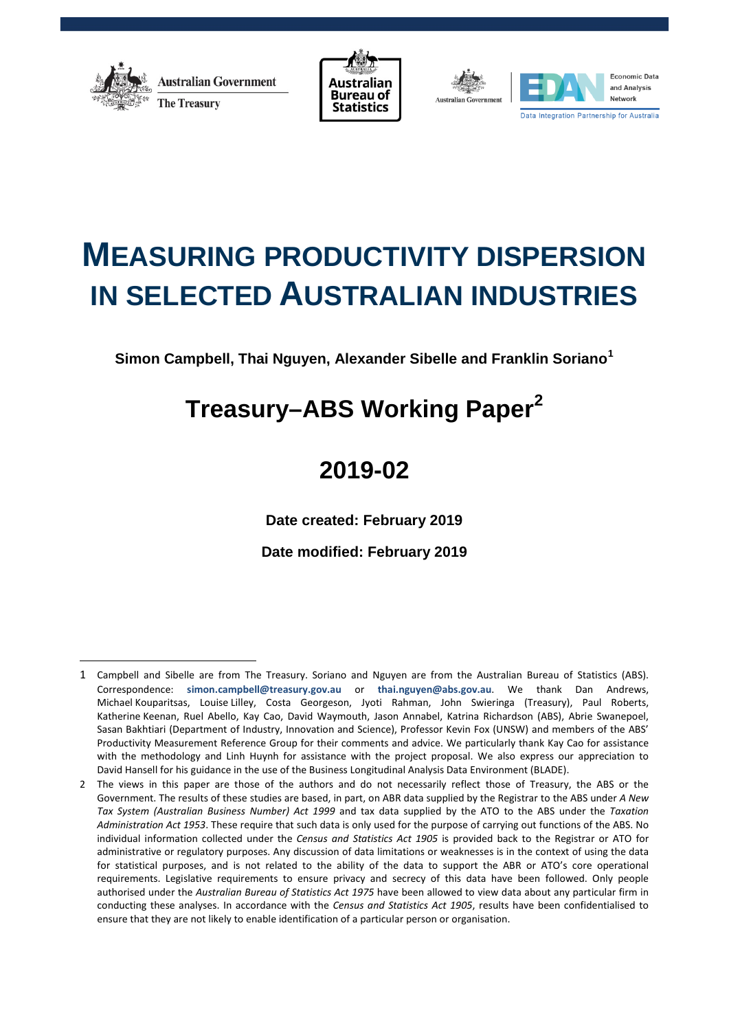

 $\overline{a}$ 





# **MEASURING PRODUCTIVITY DISPERSION IN SELECTED AUSTRALIAN INDUSTRIES**

**Simon Campbell, Thai Nguyen, Alexander Sibelle and Franklin Soriano[1](#page-0-0)**

# **Treasury–ABS Working Paper[2](#page-0-1)**

# **2019-02**

**Date created: February 2019**

**Date modified: February 2019**

<span id="page-0-0"></span><sup>1</sup> Campbell and Sibelle are from The Treasury. Soriano and Nguyen are from the Australian Bureau of Statistics (ABS). Correspondence: **[simon.campbell@treasury.gov.au](mailto:simon.campbell@treasury.gov.au)** or **[thai.nguyen@abs.gov.au](mailto:thai.nguyen@abs.gov.au)**. We thank Dan Andrews, Michael Kouparitsas, Louise Lilley, Costa Georgeson, Jyoti Rahman, John Swieringa (Treasury), Paul Roberts, Katherine Keenan, Ruel Abello, Kay Cao, David Waymouth, Jason Annabel, Katrina Richardson (ABS), Abrie Swanepoel, Sasan Bakhtiari (Department of Industry, Innovation and Science), Professor Kevin Fox (UNSW) and members of the ABS' Productivity Measurement Reference Group for their comments and advice. We particularly thank Kay Cao for assistance with the methodology and Linh Huynh for assistance with the project proposal. We also express our appreciation to David Hansell for his guidance in the use of the Business Longitudinal Analysis Data Environment (BLADE).

<span id="page-0-1"></span><sup>2</sup> The views in this paper are those of the authors and do not necessarily reflect those of Treasury, the ABS or the Government. The results of these studies are based, in part, on ABR data supplied by the Registrar to the ABS under *A New Tax System (Australian Business Number) Act 1999* and tax data supplied by the ATO to the ABS under the *Taxation Administration Act 1953*. These require that such data is only used for the purpose of carrying out functions of the ABS. No individual information collected under the *Census and Statistics Act 1905* is provided back to the Registrar or ATO for administrative or regulatory purposes. Any discussion of data limitations or weaknesses is in the context of using the data for statistical purposes, and is not related to the ability of the data to support the ABR or ATO's core operational requirements. Legislative requirements to ensure privacy and secrecy of this data have been followed. Only people authorised under the *Australian Bureau of Statistics Act 1975* have been allowed to view data about any particular firm in conducting these analyses. In accordance with the *Census and Statistics Act 1905*, results have been confidentialised to ensure that they are not likely to enable identification of a particular person or organisation.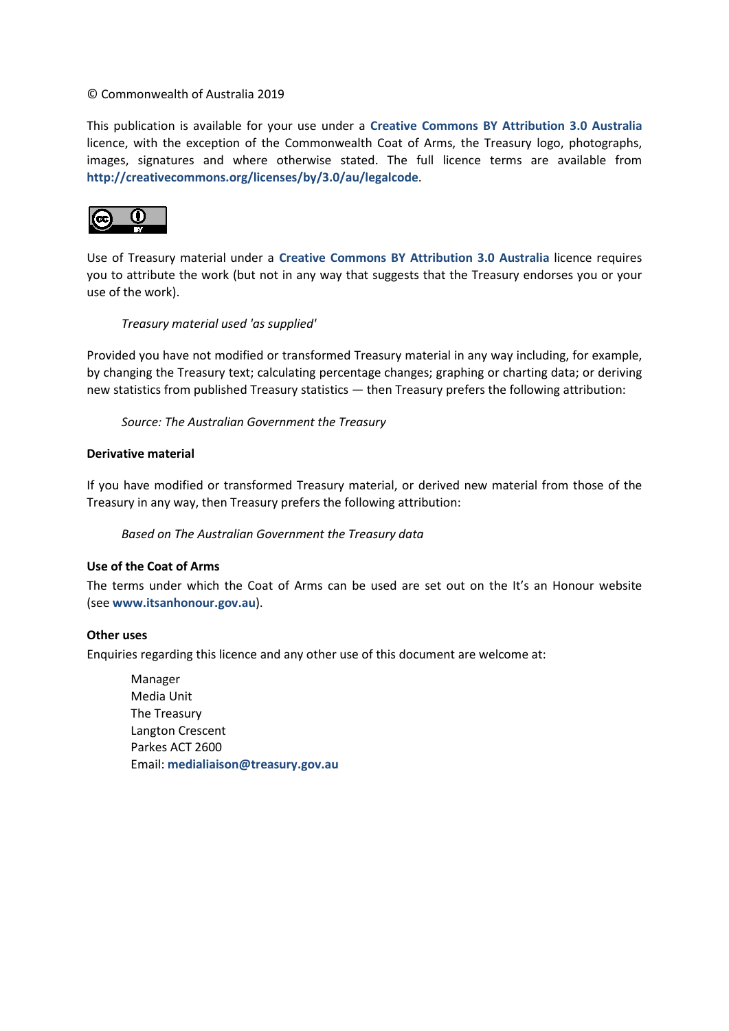#### © Commonwealth of Australia 2019

This publication is available for your use under a **[Creative Commons BY Attribution 3.0 Australia](http://creativecommons.org/licenses/by/3.0/au/deed.en)** licence, with the exception of the Commonwealth Coat of Arms, the Treasury logo, photographs, images, signatures and where otherwise stated. The full licence terms are available from **<http://creativecommons.org/licenses/by/3.0/au/legalcode>**.



Use of Treasury material under a **[Creative Commons BY Attribution 3.0 Australia](http://creativecommons.org/licenses/by/3.0/au/deed.en)** licence requires you to attribute the work (but not in any way that suggests that the Treasury endorses you or your use of the work).

#### *Treasury material used 'as supplied'*

Provided you have not modified or transformed Treasury material in any way including, for example, by changing the Treasury text; calculating percentage changes; graphing or charting data; or deriving new statistics from published Treasury statistics — then Treasury prefers the following attribution:

*Source: The Australian Government the Treasury*

#### **Derivative material**

If you have modified or transformed Treasury material, or derived new material from those of the Treasury in any way, then Treasury prefers the following attribution:

*Based on The Australian Government the Treasury data*

#### **Use of the Coat of Arms**

The terms under which the Coat of Arms can be used are set out on the It's an Honour website (see **[www.itsanhonour.gov.au](http://www.itsanhonour.gov.au/)**).

#### **Other uses**

Enquiries regarding this licence and any other use of this document are welcome at:

Manager Media Unit The Treasury Langton Crescent Parkes ACT 2600 Email: **[medialiaison@treasury.gov.au](mailto:medialiaison@treasury.gov.au)**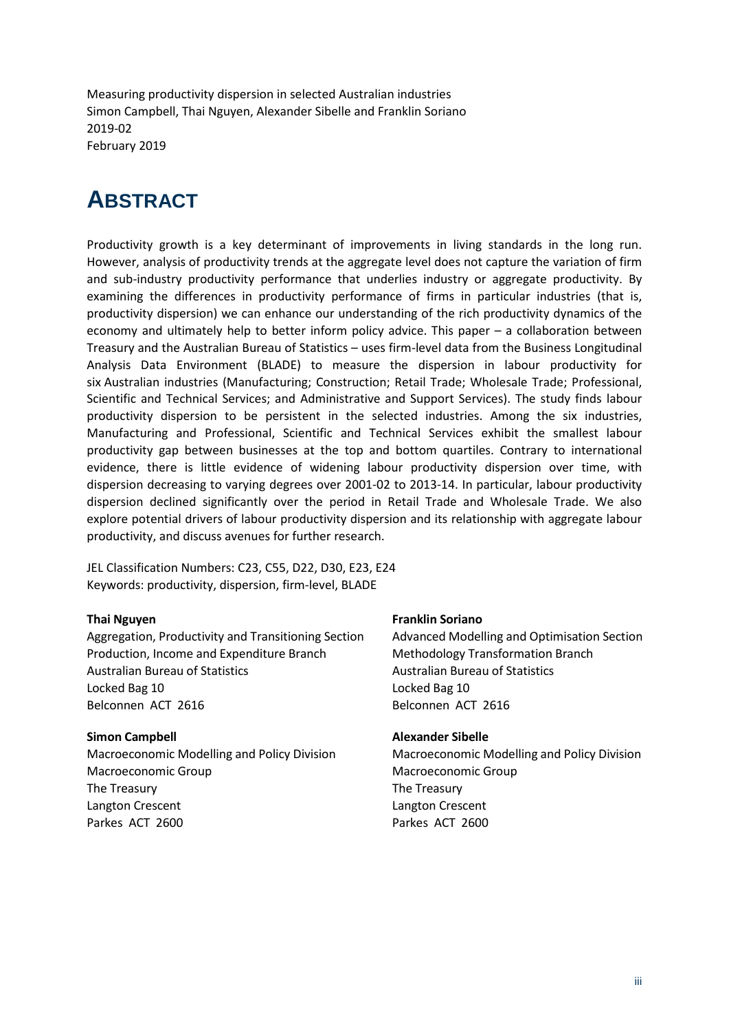Measuring productivity dispersion in selected Australian industries Simon Campbell, Thai Nguyen, Alexander Sibelle and Franklin Soriano 2019-02 February 2019

# <span id="page-2-0"></span>**ABSTRACT**

Productivity growth is a key determinant of improvements in living standards in the long run. However, analysis of productivity trends at the aggregate level does not capture the variation of firm and sub-industry productivity performance that underlies industry or aggregate productivity. By examining the differences in productivity performance of firms in particular industries (that is, productivity dispersion) we can enhance our understanding of the rich productivity dynamics of the economy and ultimately help to better inform policy advice. This paper – a collaboration between Treasury and the Australian Bureau of Statistics – uses firm-level data from the Business Longitudinal Analysis Data Environment (BLADE) to measure the dispersion in labour productivity for six Australian industries (Manufacturing; Construction; Retail Trade; Wholesale Trade; Professional, Scientific and Technical Services; and Administrative and Support Services). The study finds labour productivity dispersion to be persistent in the selected industries. Among the six industries, Manufacturing and Professional, Scientific and Technical Services exhibit the smallest labour productivity gap between businesses at the top and bottom quartiles. Contrary to international evidence, there is little evidence of widening labour productivity dispersion over time, with dispersion decreasing to varying degrees over 2001-02 to 2013-14. In particular, labour productivity dispersion declined significantly over the period in Retail Trade and Wholesale Trade. We also explore potential drivers of labour productivity dispersion and its relationship with aggregate labour productivity, and discuss avenues for further research.

JEL Classification Numbers: C23, C55, D22, D30, E23, E24 Keywords: productivity, dispersion, firm-level, BLADE

#### **Thai Nguyen**

Aggregation, Productivity and Transitioning Section Production, Income and Expenditure Branch Australian Bureau of Statistics Locked Bag 10 Belconnen ACT 2616

#### **Simon Campbell**

Macroeconomic Modelling and Policy Division Macroeconomic Group The Treasury Langton Crescent Parkes ACT 2600

#### **Franklin Soriano**

Advanced Modelling and Optimisation Section Methodology Transformation Branch Australian Bureau of Statistics Locked Bag 10 Belconnen ACT 2616

#### **Alexander Sibelle**

Macroeconomic Modelling and Policy Division Macroeconomic Group The Treasury Langton Crescent Parkes ACT 2600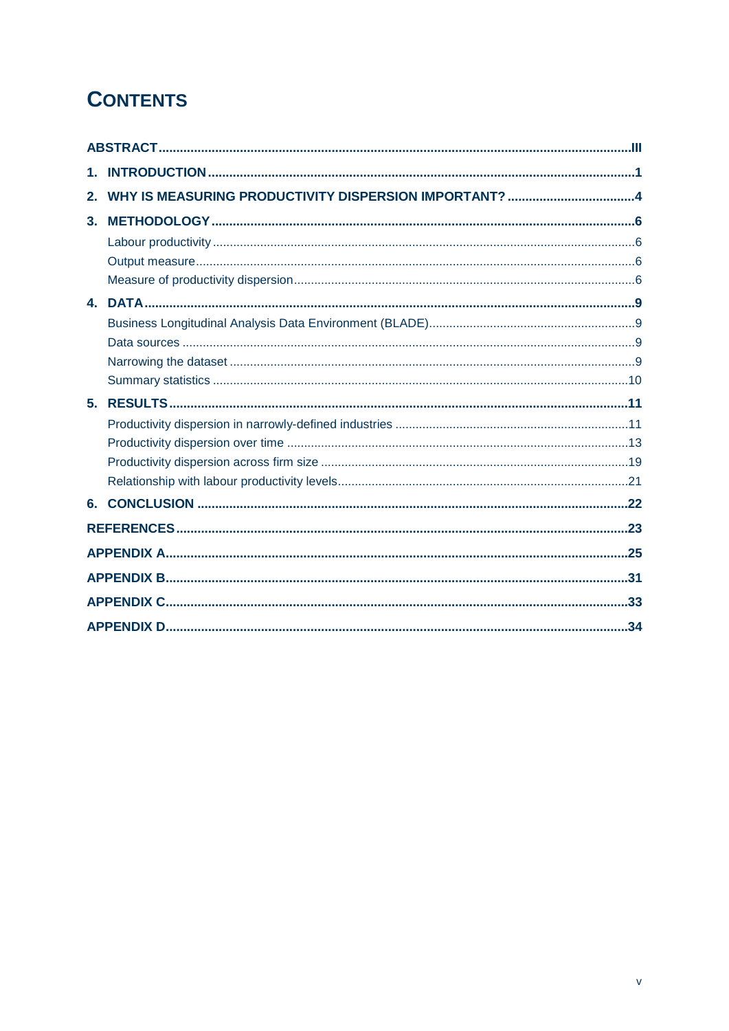# **CONTENTS**

| 2. |  |
|----|--|
| 3. |  |
|    |  |
|    |  |
|    |  |
|    |  |
|    |  |
|    |  |
|    |  |
|    |  |
| 5. |  |
|    |  |
|    |  |
|    |  |
|    |  |
| 6. |  |
|    |  |
|    |  |
|    |  |
|    |  |
|    |  |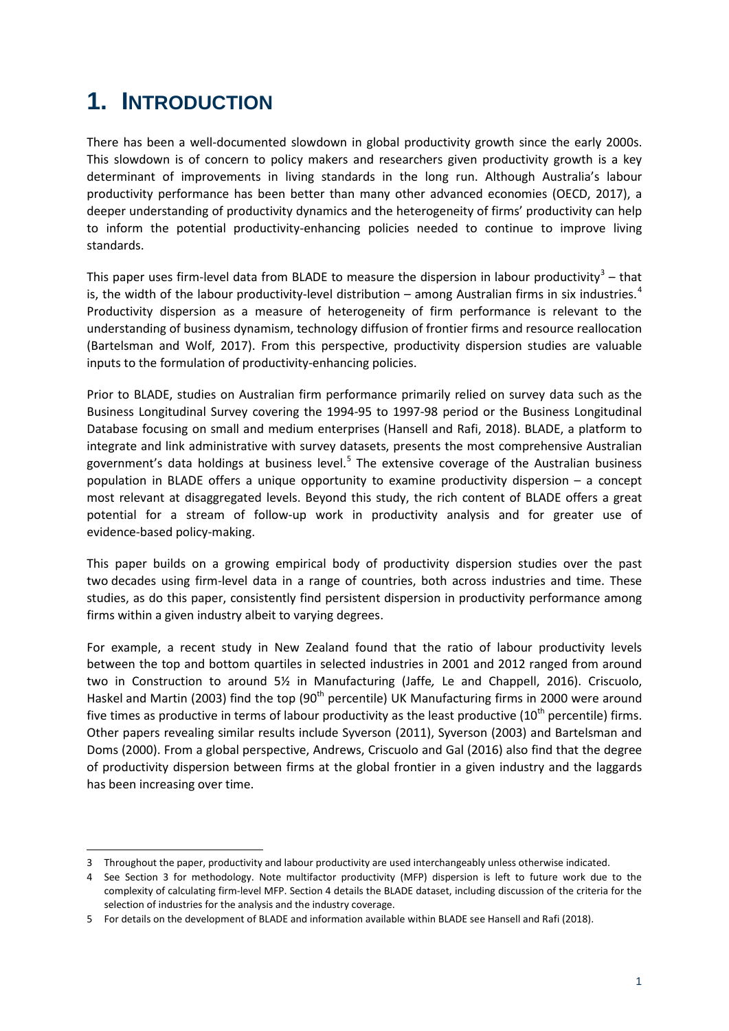# <span id="page-6-0"></span>**1. INTRODUCTION**

There has been a well-documented slowdown in global productivity growth since the early 2000s. This slowdown is of concern to policy makers and researchers given productivity growth is a key determinant of improvements in living standards in the long run. Although Australia's labour productivity performance has been better than many other advanced economies (OECD, 2017), a deeper understanding of productivity dynamics and the heterogeneity of firms' productivity can help to inform the potential productivity-enhancing policies needed to continue to improve living standards.

This paper uses firm-level data from BLADE to measure the dispersion in labour productivity<sup>[3](#page-6-1)</sup> – that is, the width of the labour productivity-level distribution – among Australian firms in six industries.<sup>[4](#page-6-2)</sup> Productivity dispersion as a measure of heterogeneity of firm performance is relevant to the understanding of business dynamism, technology diffusion of frontier firms and resource reallocation (Bartelsman and Wolf, 2017). From this perspective, productivity dispersion studies are valuable inputs to the formulation of productivity-enhancing policies.

Prior to BLADE, studies on Australian firm performance primarily relied on survey data such as the Business Longitudinal Survey covering the 1994-95 to 1997-98 period or the Business Longitudinal Database focusing on small and medium enterprises (Hansell and Rafi, 2018). BLADE, a platform to integrate and link administrative with survey datasets, presents the most comprehensive Australian government's data holdings at business level.<sup>[5](#page-6-3)</sup> The extensive coverage of the Australian business population in BLADE offers a unique opportunity to examine productivity dispersion – a concept most relevant at disaggregated levels. Beyond this study, the rich content of BLADE offers a great potential for a stream of follow-up work in productivity analysis and for greater use of evidence-based policy-making.

This paper builds on a growing empirical body of productivity dispersion studies over the past two decades using firm-level data in a range of countries, both across industries and time. These studies, as do this paper, consistently find persistent dispersion in productivity performance among firms within a given industry albeit to varying degrees.

For example, a recent study in New Zealand found that the ratio of labour productivity levels between the top and bottom quartiles in selected industries in 2001 and 2012 ranged from around two in Construction to around 5½ in Manufacturing (Jaffe*,* Le and Chappell, 2016). Criscuolo, Haskel and Martin (2003) find the top (90<sup>th</sup> percentile) UK Manufacturing firms in 2000 were around five times as productive in terms of labour productivity as the least productive  $(10<sup>th</sup>$  percentile) firms. Other papers revealing similar results include Syverson (2011), Syverson (2003) and Bartelsman and Doms (2000). From a global perspective, Andrews, Criscuolo and Gal (2016) also find that the degree of productivity dispersion between firms at the global frontier in a given industry and the laggards has been increasing over time.

**<sup>.</sup>** 3 Throughout the paper, productivity and labour productivity are used interchangeably unless otherwise indicated.

<span id="page-6-2"></span><span id="page-6-1"></span><sup>4</sup> See Section 3 for methodology. Note multifactor productivity (MFP) dispersion is left to future work due to the complexity of calculating firm-level MFP. Section 4 details the BLADE dataset, including discussion of the criteria for the selection of industries for the analysis and the industry coverage.

<span id="page-6-3"></span><sup>5</sup> For details on the development of BLADE and information available within BLADE see Hansell and Rafi (2018).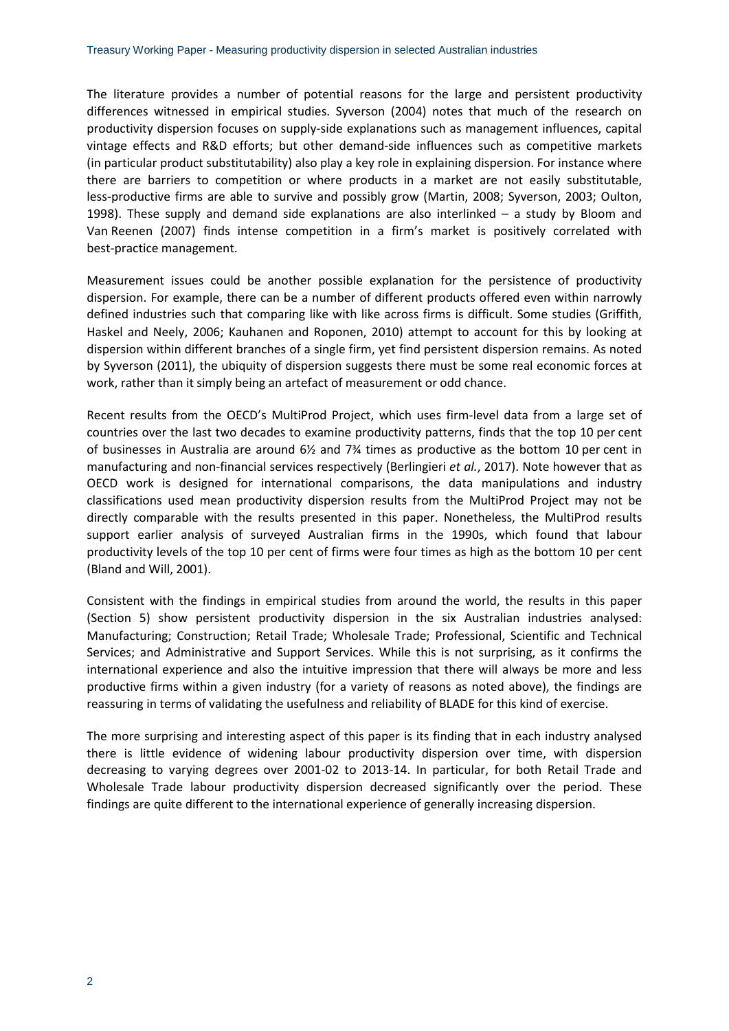The literature provides a number of potential reasons for the large and persistent productivity differences witnessed in empirical studies. Syverson (2004) notes that much of the research on productivity dispersion focuses on supply-side explanations such as management influences, capital vintage effects and R&D efforts; but other demand-side influences such as competitive markets (in particular product substitutability) also play a key role in explaining dispersion. For instance where there are barriers to competition or where products in a market are not easily substitutable, less-productive firms are able to survive and possibly grow (Martin, 2008; Syverson, 2003; Oulton, 1998). These supply and demand side explanations are also interlinked – a study by Bloom and Van Reenen (2007) finds intense competition in a firm's market is positively correlated with best-practice management.

Measurement issues could be another possible explanation for the persistence of productivity dispersion. For example, there can be a number of different products offered even within narrowly defined industries such that comparing like with like across firms is difficult. Some studies (Griffith, Haskel and Neely, 2006; Kauhanen and Roponen, 2010) attempt to account for this by looking at dispersion within different branches of a single firm, yet find persistent dispersion remains. As noted by Syverson (2011), the ubiquity of dispersion suggests there must be some real economic forces at work, rather than it simply being an artefact of measurement or odd chance.

Recent results from the OECD's MultiProd Project, which uses firm-level data from a large set of countries over the last two decades to examine productivity patterns, finds that the top 10 per cent of businesses in Australia are around 6½ and 7¾ times as productive as the bottom 10 per cent in manufacturing and non-financial services respectively (Berlingieri *et al.*, 2017). Note however that as OECD work is designed for international comparisons, the data manipulations and industry classifications used mean productivity dispersion results from the MultiProd Project may not be directly comparable with the results presented in this paper. Nonetheless, the MultiProd results support earlier analysis of surveyed Australian firms in the 1990s, which found that labour productivity levels of the top 10 per cent of firms were four times as high as the bottom 10 per cent (Bland and Will, 2001).

Consistent with the findings in empirical studies from around the world, the results in this paper (Section 5) show persistent productivity dispersion in the six Australian industries analysed: Manufacturing; Construction; Retail Trade; Wholesale Trade; Professional, Scientific and Technical Services; and Administrative and Support Services. While this is not surprising, as it confirms the international experience and also the intuitive impression that there will always be more and less productive firms within a given industry (for a variety of reasons as noted above), the findings are reassuring in terms of validating the usefulness and reliability of BLADE for this kind of exercise.

The more surprising and interesting aspect of this paper is its finding that in each industry analysed there is little evidence of widening labour productivity dispersion over time, with dispersion decreasing to varying degrees over 2001-02 to 2013-14. In particular, for both Retail Trade and Wholesale Trade labour productivity dispersion decreased significantly over the period. These findings are quite different to the international experience of generally increasing dispersion.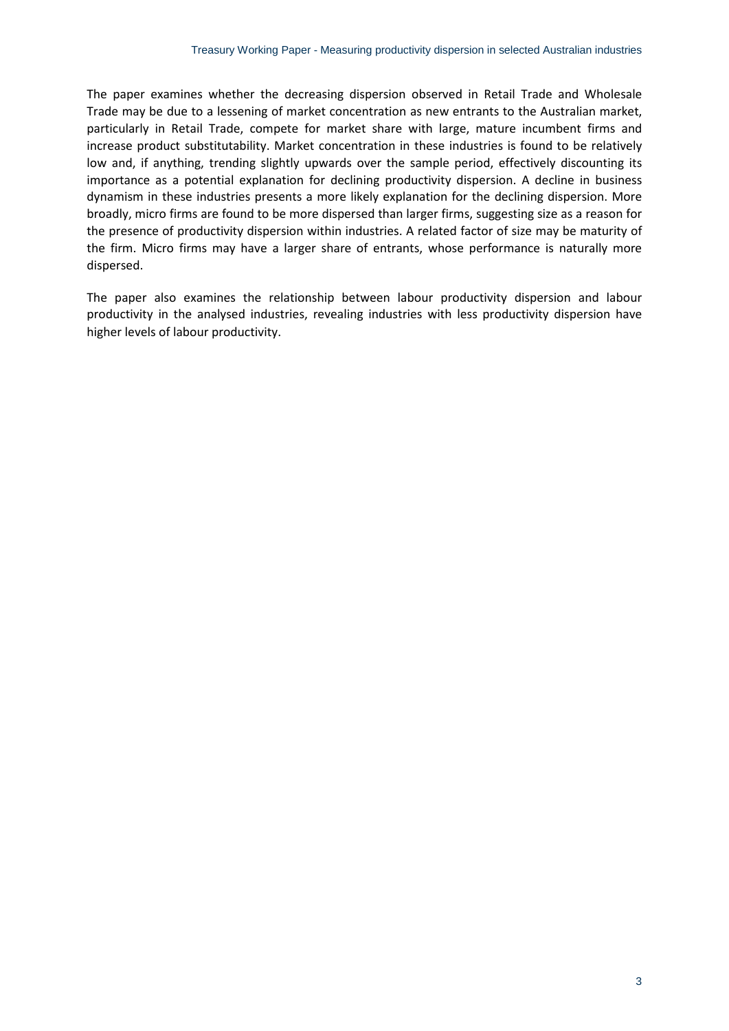The paper examines whether the decreasing dispersion observed in Retail Trade and Wholesale Trade may be due to a lessening of market concentration as new entrants to the Australian market, particularly in Retail Trade, compete for market share with large, mature incumbent firms and increase product substitutability. Market concentration in these industries is found to be relatively low and, if anything, trending slightly upwards over the sample period, effectively discounting its importance as a potential explanation for declining productivity dispersion. A decline in business dynamism in these industries presents a more likely explanation for the declining dispersion. More broadly, micro firms are found to be more dispersed than larger firms, suggesting size as a reason for the presence of productivity dispersion within industries. A related factor of size may be maturity of the firm. Micro firms may have a larger share of entrants, whose performance is naturally more dispersed.

The paper also examines the relationship between labour productivity dispersion and labour productivity in the analysed industries, revealing industries with less productivity dispersion have higher levels of labour productivity.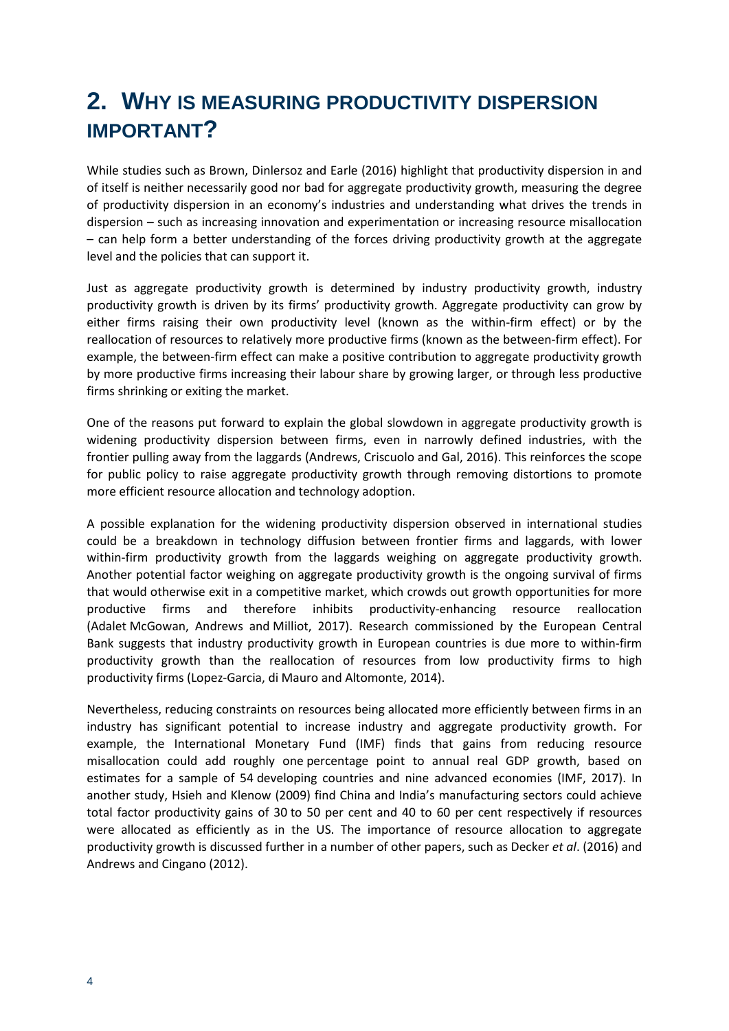# <span id="page-9-0"></span>**2. WHY IS MEASURING PRODUCTIVITY DISPERSION IMPORTANT?**

While studies such as Brown, Dinlersoz and Earle (2016) highlight that productivity dispersion in and of itself is neither necessarily good nor bad for aggregate productivity growth, measuring the degree of productivity dispersion in an economy's industries and understanding what drives the trends in dispersion – such as increasing innovation and experimentation or increasing resource misallocation – can help form a better understanding of the forces driving productivity growth at the aggregate level and the policies that can support it.

Just as aggregate productivity growth is determined by industry productivity growth, industry productivity growth is driven by its firms' productivity growth. Aggregate productivity can grow by either firms raising their own productivity level (known as the within-firm effect) or by the reallocation of resources to relatively more productive firms (known as the between-firm effect). For example, the between-firm effect can make a positive contribution to aggregate productivity growth by more productive firms increasing their labour share by growing larger, or through less productive firms shrinking or exiting the market.

One of the reasons put forward to explain the global slowdown in aggregate productivity growth is widening productivity dispersion between firms, even in narrowly defined industries, with the frontier pulling away from the laggards (Andrews, Criscuolo and Gal, 2016). This reinforces the scope for public policy to raise aggregate productivity growth through removing distortions to promote more efficient resource allocation and technology adoption.

A possible explanation for the widening productivity dispersion observed in international studies could be a breakdown in technology diffusion between frontier firms and laggards, with lower within-firm productivity growth from the laggards weighing on aggregate productivity growth. Another potential factor weighing on aggregate productivity growth is the ongoing survival of firms that would otherwise exit in a competitive market, which crowds out growth opportunities for more productive firms and therefore inhibits productivity-enhancing resource reallocation (Adalet McGowan, Andrews and Milliot, 2017). Research commissioned by the European Central Bank suggests that industry productivity growth in European countries is due more to within-firm productivity growth than the reallocation of resources from low productivity firms to high productivity firms (Lopez-Garcia, di Mauro and Altomonte, 2014).

Nevertheless, reducing constraints on resources being allocated more efficiently between firms in an industry has significant potential to increase industry and aggregate productivity growth. For example, the International Monetary Fund (IMF) finds that gains from reducing resource misallocation could add roughly one percentage point to annual real GDP growth, based on estimates for a sample of 54 developing countries and nine advanced economies (IMF, 2017). In another study, Hsieh and Klenow (2009) find China and India's manufacturing sectors could achieve total factor productivity gains of 30 to 50 per cent and 40 to 60 per cent respectively if resources were allocated as efficiently as in the US. The importance of resource allocation to aggregate productivity growth is discussed further in a number of other papers, such as Decker *et al*. (2016) and Andrews and Cingano (2012).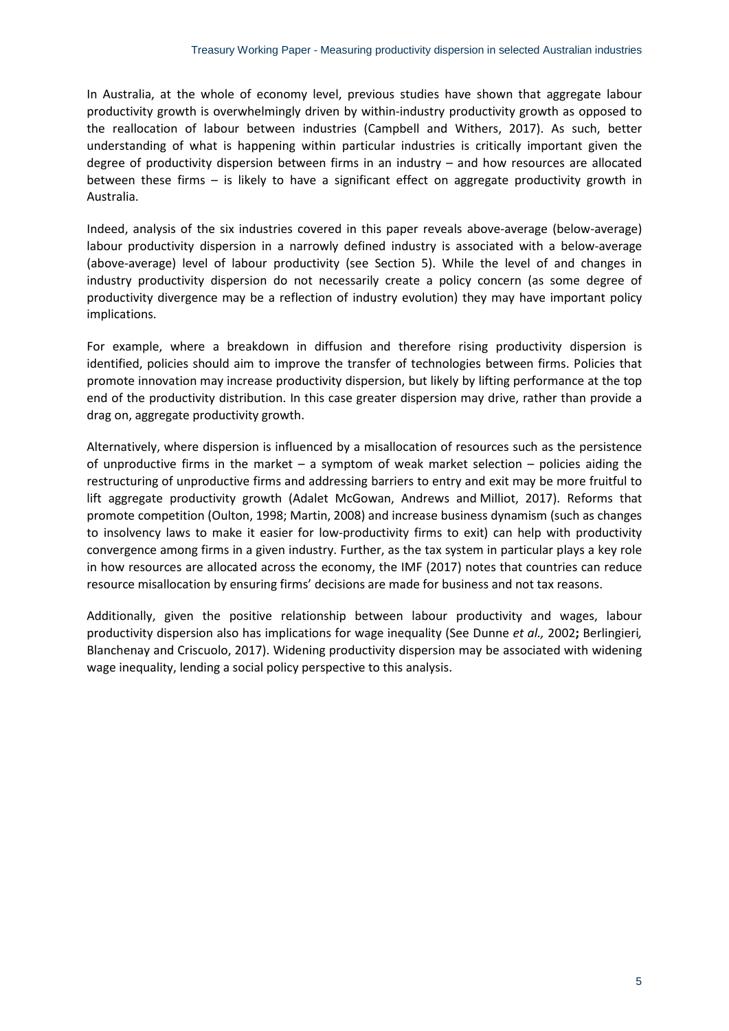In Australia, at the whole of economy level, previous studies have shown that aggregate labour productivity growth is overwhelmingly driven by within-industry productivity growth as opposed to the reallocation of labour between industries (Campbell and Withers, 2017). As such, better understanding of what is happening within particular industries is critically important given the degree of productivity dispersion between firms in an industry – and how resources are allocated between these firms – is likely to have a significant effect on aggregate productivity growth in Australia.

Indeed, analysis of the six industries covered in this paper reveals above-average (below-average) labour productivity dispersion in a narrowly defined industry is associated with a below-average (above-average) level of labour productivity (see Section 5). While the level of and changes in industry productivity dispersion do not necessarily create a policy concern (as some degree of productivity divergence may be a reflection of industry evolution) they may have important policy implications.

For example, where a breakdown in diffusion and therefore rising productivity dispersion is identified, policies should aim to improve the transfer of technologies between firms. Policies that promote innovation may increase productivity dispersion, but likely by lifting performance at the top end of the productivity distribution. In this case greater dispersion may drive, rather than provide a drag on, aggregate productivity growth.

Alternatively, where dispersion is influenced by a misallocation of resources such as the persistence of unproductive firms in the market – a symptom of weak market selection – policies aiding the restructuring of unproductive firms and addressing barriers to entry and exit may be more fruitful to lift aggregate productivity growth (Adalet McGowan, Andrews and Milliot, 2017). Reforms that promote competition (Oulton, 1998; Martin, 2008) and increase business dynamism (such as changes to insolvency laws to make it easier for low-productivity firms to exit) can help with productivity convergence among firms in a given industry. Further, as the tax system in particular plays a key role in how resources are allocated across the economy, the IMF (2017) notes that countries can reduce resource misallocation by ensuring firms' decisions are made for business and not tax reasons.

Additionally, given the positive relationship between labour productivity and wages, labour productivity dispersion also has implications for wage inequality (See Dunne *et al.,* 2002**;** Berlingieri*,* Blanchenay and Criscuolo, 2017). Widening productivity dispersion may be associated with widening wage inequality, lending a social policy perspective to this analysis.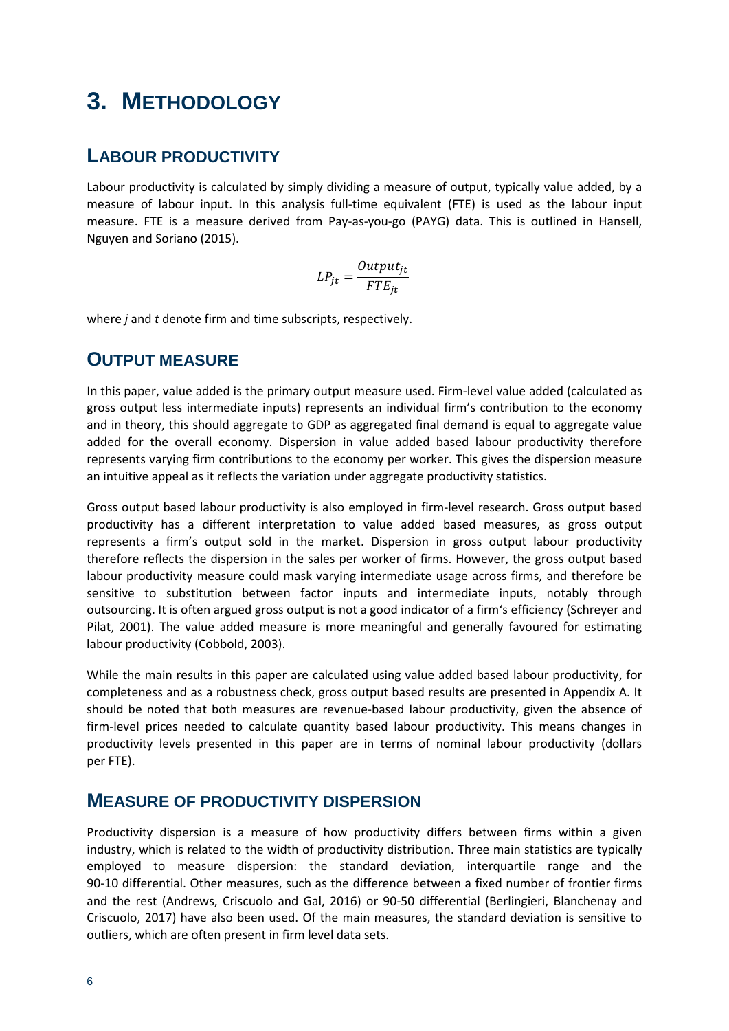# <span id="page-11-0"></span>**3. METHODOLOGY**

## <span id="page-11-1"></span>**LABOUR PRODUCTIVITY**

Labour productivity is calculated by simply dividing a measure of output, typically value added, by a measure of labour input. In this analysis full-time equivalent (FTE) is used as the labour input measure. FTE is a measure derived from Pay-as-you-go (PAYG) data. This is outlined in Hansell, Nguyen and Soriano (2015).

$$
LP_{jt} = \frac{Output_{jt}}{FTE_{jt}}
$$

where *j* and *t* denote firm and time subscripts, respectively.

## <span id="page-11-2"></span>**OUTPUT MEASURE**

In this paper, value added is the primary output measure used. Firm-level value added (calculated as gross output less intermediate inputs) represents an individual firm's contribution to the economy and in theory, this should aggregate to GDP as aggregated final demand is equal to aggregate value added for the overall economy. Dispersion in value added based labour productivity therefore represents varying firm contributions to the economy per worker. This gives the dispersion measure an intuitive appeal as it reflects the variation under aggregate productivity statistics.

Gross output based labour productivity is also employed in firm-level research. Gross output based productivity has a different interpretation to value added based measures, as gross output represents a firm's output sold in the market. Dispersion in gross output labour productivity therefore reflects the dispersion in the sales per worker of firms. However, the gross output based labour productivity measure could mask varying intermediate usage across firms, and therefore be sensitive to substitution between factor inputs and intermediate inputs, notably through outsourcing. It is often argued gross output is not a good indicator of a firm's efficiency (Schreyer and Pilat, 2001). The value added measure is more meaningful and generally favoured for estimating labour productivity (Cobbold, 2003).

While the main results in this paper are calculated using value added based labour productivity, for completeness and as a robustness check, gross output based results are presented in Appendix A. It should be noted that both measures are revenue-based labour productivity, given the absence of firm-level prices needed to calculate quantity based labour productivity. This means changes in productivity levels presented in this paper are in terms of nominal labour productivity (dollars per FTE).

## <span id="page-11-3"></span>**MEASURE OF PRODUCTIVITY DISPERSION**

Productivity dispersion is a measure of how productivity differs between firms within a given industry, which is related to the width of productivity distribution. Three main statistics are typically employed to measure dispersion: the standard deviation, interquartile range and the 90-10 differential. Other measures, such as the difference between a fixed number of frontier firms and the rest (Andrews, Criscuolo and Gal, 2016) or 90-50 differential (Berlingieri, Blanchenay and Criscuolo, 2017) have also been used. Of the main measures, the standard deviation is sensitive to outliers, which are often present in firm level data sets.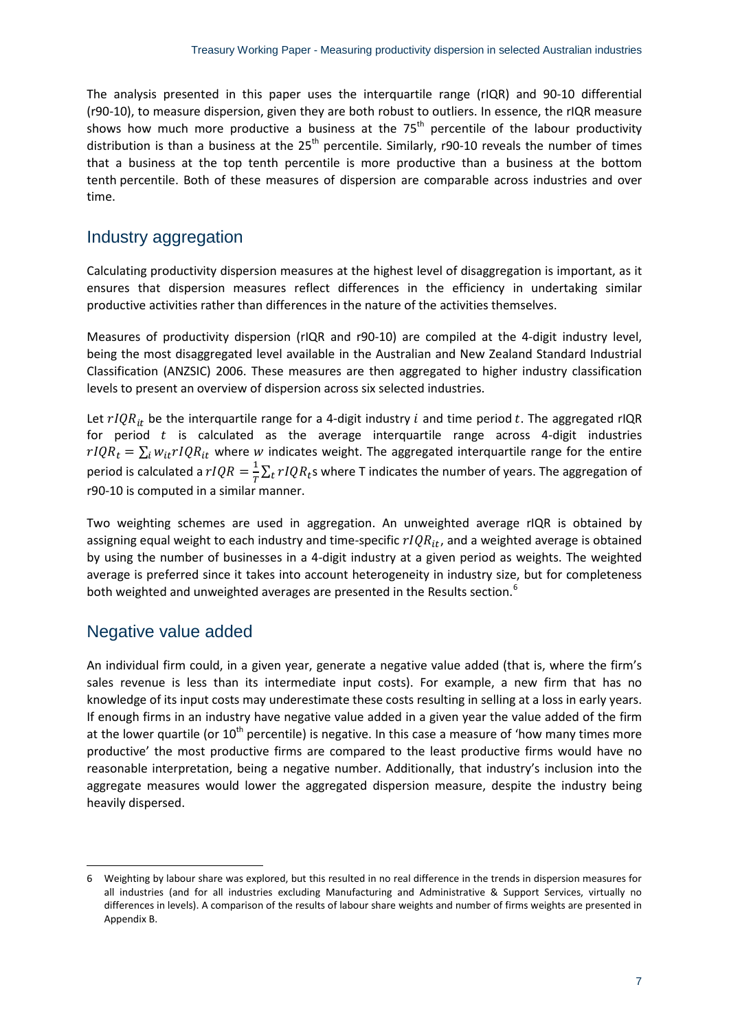The analysis presented in this paper uses the interquartile range (rIQR) and 90-10 differential (r90-10), to measure dispersion, given they are both robust to outliers. In essence, the rIQR measure shows how much more productive a business at the  $75<sup>th</sup>$  percentile of the labour productivity distribution is than a business at the  $25<sup>th</sup>$  percentile. Similarly, r90-10 reveals the number of times that a business at the top tenth percentile is more productive than a business at the bottom tenth percentile. Both of these measures of dispersion are comparable across industries and over time.

## Industry aggregation

Calculating productivity dispersion measures at the highest level of disaggregation is important, as it ensures that dispersion measures reflect differences in the efficiency in undertaking similar productive activities rather than differences in the nature of the activities themselves.

Measures of productivity dispersion (rIQR and r90-10) are compiled at the 4-digit industry level, being the most disaggregated level available in the Australian and New Zealand Standard Industrial Classification (ANZSIC) 2006. These measures are then aggregated to higher industry classification levels to present an overview of dispersion across six selected industries.

Let  $rIQR_{it}$  be the interquartile range for a 4-digit industry *i* and time period *t*. The aggregated rIQR for period  $t$  is calculated as the average interquartile range across 4-digit industries  $rIQR_t = \sum_i w_{it} rIQR_{it}$  where w indicates weight. The aggregated interquartile range for the entire period is calculated a  $rIQR = \frac{1}{T}\sum_t rIQR_t$ s where T indicates the number of years. The aggregation of r90-10 is computed in a similar manner.

Two weighting schemes are used in aggregation. An unweighted average rIQR is obtained by assigning equal weight to each industry and time-specific  $rIQR_{it}$ , and a weighted average is obtained by using the number of businesses in a 4-digit industry at a given period as weights. The weighted average is preferred since it takes into account heterogeneity in industry size, but for completeness both weighted and unweighted averages are presented in the Results section.<sup>[6](#page-12-0)</sup>

## Negative value added

An individual firm could, in a given year, generate a negative value added (that is, where the firm's sales revenue is less than its intermediate input costs). For example, a new firm that has no knowledge of its input costs may underestimate these costs resulting in selling at a loss in early years. If enough firms in an industry have negative value added in a given year the value added of the firm at the lower quartile (or  $10^{th}$  percentile) is negative. In this case a measure of 'how many times more productive' the most productive firms are compared to the least productive firms would have no reasonable interpretation, being a negative number. Additionally, that industry's inclusion into the aggregate measures would lower the aggregated dispersion measure, despite the industry being heavily dispersed.

<span id="page-12-0"></span> $\overline{\phantom{a}}$ 6 Weighting by labour share was explored, but this resulted in no real difference in the trends in dispersion measures for all industries (and for all industries excluding Manufacturing and Administrative & Support Services, virtually no differences in levels). A comparison of the results of labour share weights and number of firms weights are presented in Appendix B.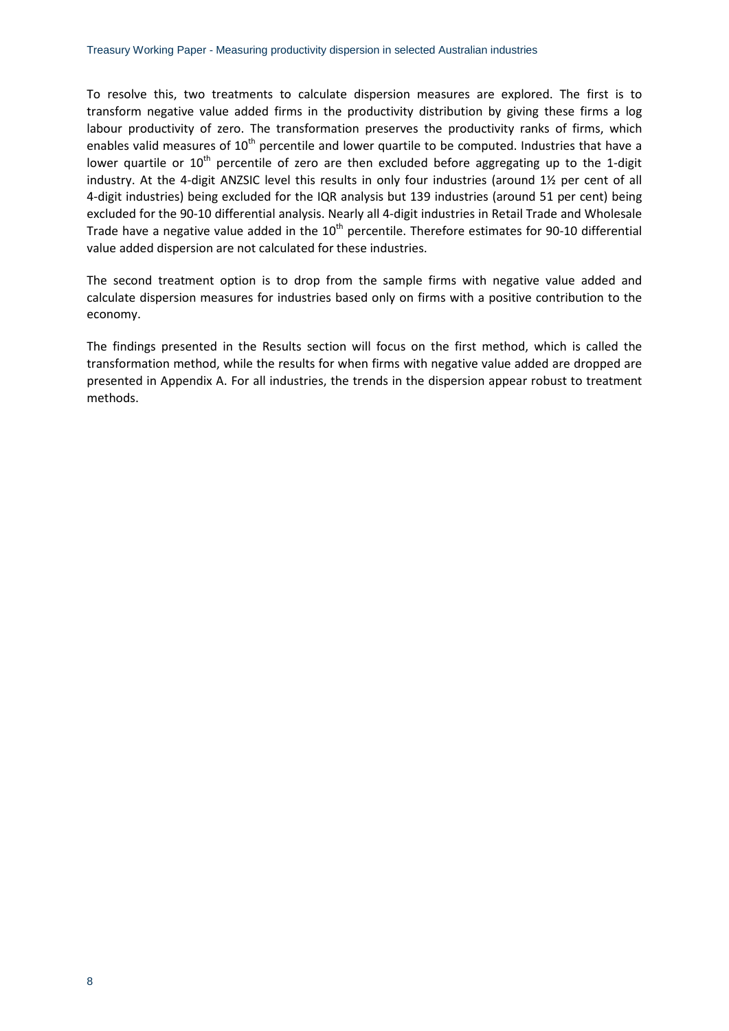To resolve this, two treatments to calculate dispersion measures are explored. The first is to transform negative value added firms in the productivity distribution by giving these firms a log labour productivity of zero. The transformation preserves the productivity ranks of firms, which enables valid measures of  $10<sup>th</sup>$  percentile and lower quartile to be computed. Industries that have a lower quartile or  $10<sup>th</sup>$  percentile of zero are then excluded before aggregating up to the 1-digit industry. At the 4-digit ANZSIC level this results in only four industries (around 1½ per cent of all 4-digit industries) being excluded for the IQR analysis but 139 industries (around 51 per cent) being excluded for the 90-10 differential analysis. Nearly all 4-digit industries in Retail Trade and Wholesale Trade have a negative value added in the  $10<sup>th</sup>$  percentile. Therefore estimates for 90-10 differential value added dispersion are not calculated for these industries.

The second treatment option is to drop from the sample firms with negative value added and calculate dispersion measures for industries based only on firms with a positive contribution to the economy.

The findings presented in the Results section will focus on the first method, which is called the transformation method, while the results for when firms with negative value added are dropped are presented in Appendix A. For all industries, the trends in the dispersion appear robust to treatment methods.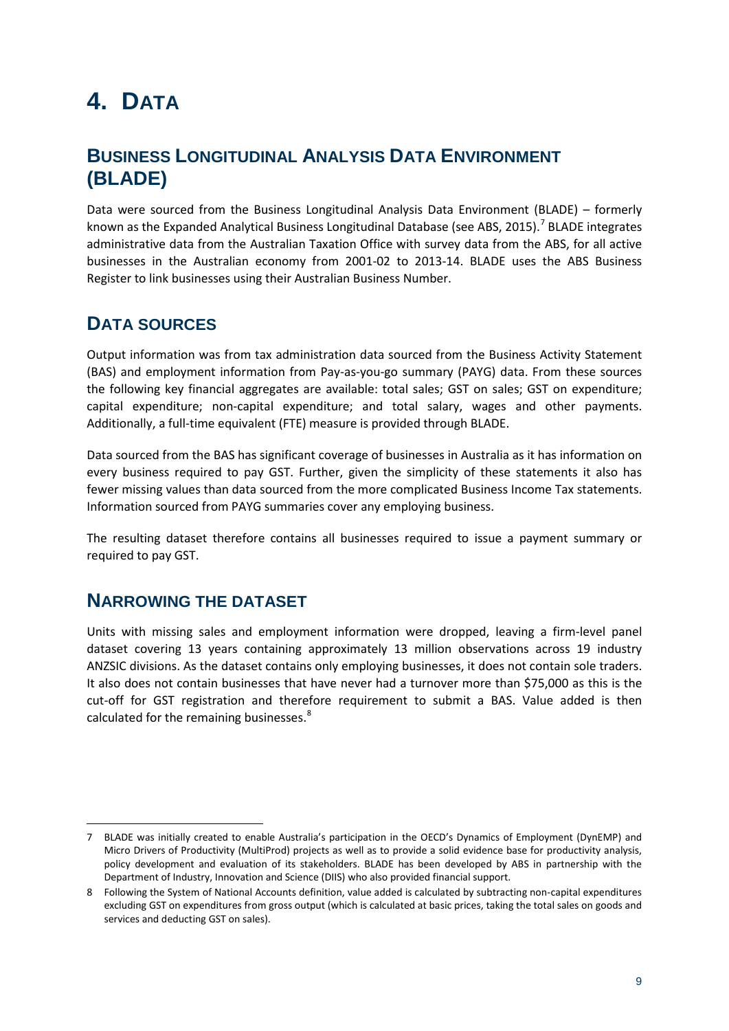# <span id="page-14-0"></span>**4. DATA**

## <span id="page-14-1"></span>**BUSINESS LONGITUDINAL ANALYSIS DATA ENVIRONMENT (BLADE)**

Data were sourced from the Business Longitudinal Analysis Data Environment (BLADE) – formerly known as the Expanded Analytical Business Longitudinal Database (see ABS, 2015).<sup>[7](#page-14-4)</sup> BLADE integrates administrative data from the Australian Taxation Office with survey data from the ABS, for all active businesses in the Australian economy from 2001-02 to 2013-14. BLADE uses the ABS Business Register to link businesses using their Australian Business Number.

## <span id="page-14-2"></span>**DATA SOURCES**

Output information was from tax administration data sourced from the Business Activity Statement (BAS) and employment information from Pay-as-you-go summary (PAYG) data. From these sources the following key financial aggregates are available: total sales; GST on sales; GST on expenditure; capital expenditure; non-capital expenditure; and total salary, wages and other payments. Additionally, a full-time equivalent (FTE) measure is provided through BLADE.

Data sourced from the BAS has significant coverage of businesses in Australia as it has information on every business required to pay GST. Further, given the simplicity of these statements it also has fewer missing values than data sourced from the more complicated Business Income Tax statements. Information sourced from PAYG summaries cover any employing business.

The resulting dataset therefore contains all businesses required to issue a payment summary or required to pay GST.

## <span id="page-14-3"></span>**NARROWING THE DATASET**

Units with missing sales and employment information were dropped, leaving a firm-level panel dataset covering 13 years containing approximately 13 million observations across 19 industry ANZSIC divisions. As the dataset contains only employing businesses, it does not contain sole traders. It also does not contain businesses that have never had a turnover more than \$75,000 as this is the cut-off for GST registration and therefore requirement to submit a BAS. Value added is then calculated for the remaining businesses.<sup>[8](#page-14-5)</sup>

<span id="page-14-4"></span>**<sup>.</sup>** 7 BLADE was initially created to enable Australia's participation in the OECD's Dynamics of Employment (DynEMP) and Micro Drivers of Productivity (MultiProd) projects as well as to provide a solid evidence base for productivity analysis, policy development and evaluation of its stakeholders. BLADE has been developed by ABS in partnership with the Department of Industry, Innovation and Science (DIIS) who also provided financial support.

<span id="page-14-5"></span><sup>8</sup> Following the System of National Accounts definition, value added is calculated by subtracting non-capital expenditures excluding GST on expenditures from gross output (which is calculated at basic prices, taking the total sales on goods and services and deducting GST on sales).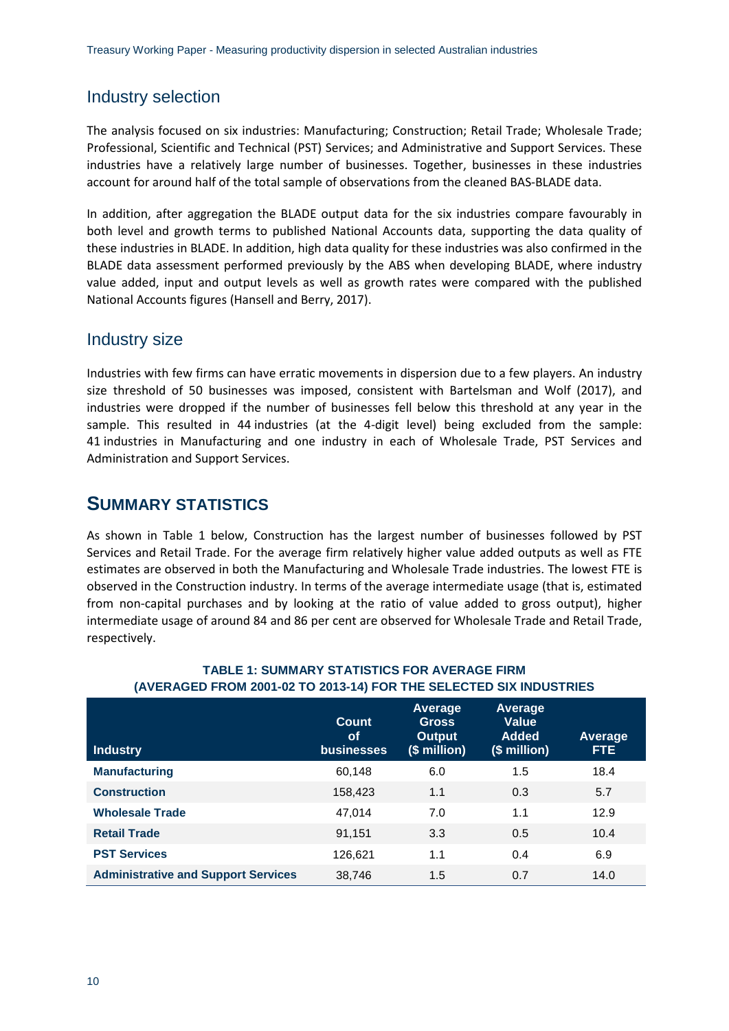## Industry selection

The analysis focused on six industries: Manufacturing; Construction; Retail Trade; Wholesale Trade; Professional, Scientific and Technical (PST) Services; and Administrative and Support Services. These industries have a relatively large number of businesses. Together, businesses in these industries account for around half of the total sample of observations from the cleaned BAS-BLADE data.

In addition, after aggregation the BLADE output data for the six industries compare favourably in both level and growth terms to published National Accounts data, supporting the data quality of these industries in BLADE. In addition, high data quality for these industries was also confirmed in the BLADE data assessment performed previously by the ABS when developing BLADE, where industry value added, input and output levels as well as growth rates were compared with the published National Accounts figures (Hansell and Berry, 2017).

## Industry size

Industries with few firms can have erratic movements in dispersion due to a few players. An industry size threshold of 50 businesses was imposed, consistent with Bartelsman and Wolf (2017), and industries were dropped if the number of businesses fell below this threshold at any year in the sample. This resulted in 44 industries (at the 4-digit level) being excluded from the sample: 41 industries in Manufacturing and one industry in each of Wholesale Trade, PST Services and Administration and Support Services.

## <span id="page-15-0"></span>**SUMMARY STATISTICS**

As shown in Table 1 below, Construction has the largest number of businesses followed by PST Services and Retail Trade. For the average firm relatively higher value added outputs as well as FTE estimates are observed in both the Manufacturing and Wholesale Trade industries. The lowest FTE is observed in the Construction industry. In terms of the average intermediate usage (that is, estimated from non-capital purchases and by looking at the ratio of value added to gross output), higher intermediate usage of around 84 and 86 per cent are observed for Wholesale Trade and Retail Trade, respectively.

| <b>Industry</b>                            | Count<br><b>of</b><br><b>businesses</b> | Average<br><b>Gross</b><br><b>Output</b><br>(\$ million) | Average<br><b>Value</b><br><b>Added</b><br>(\$ million) | Average<br>FTE. |
|--------------------------------------------|-----------------------------------------|----------------------------------------------------------|---------------------------------------------------------|-----------------|
| <b>Manufacturing</b>                       | 60,148                                  | 6.0                                                      | 1.5                                                     | 18.4            |
| <b>Construction</b>                        | 158,423                                 | 1.1                                                      | 0.3                                                     | 5.7             |
| <b>Wholesale Trade</b>                     | 47,014                                  | 7.0                                                      | 1.1                                                     | 12.9            |
| <b>Retail Trade</b>                        | 91,151                                  | 3.3                                                      | 0.5                                                     | 10.4            |
| <b>PST Services</b>                        | 126,621                                 | 1.1                                                      | 0.4                                                     | 6.9             |
| <b>Administrative and Support Services</b> | 38,746                                  | 1.5                                                      | 0.7                                                     | 14.0            |

#### **TABLE 1: SUMMARY STATISTICS FOR AVERAGE FIRM (AVERAGED FROM 2001-02 TO 2013-14) FOR THE SELECTED SIX INDUSTRIES**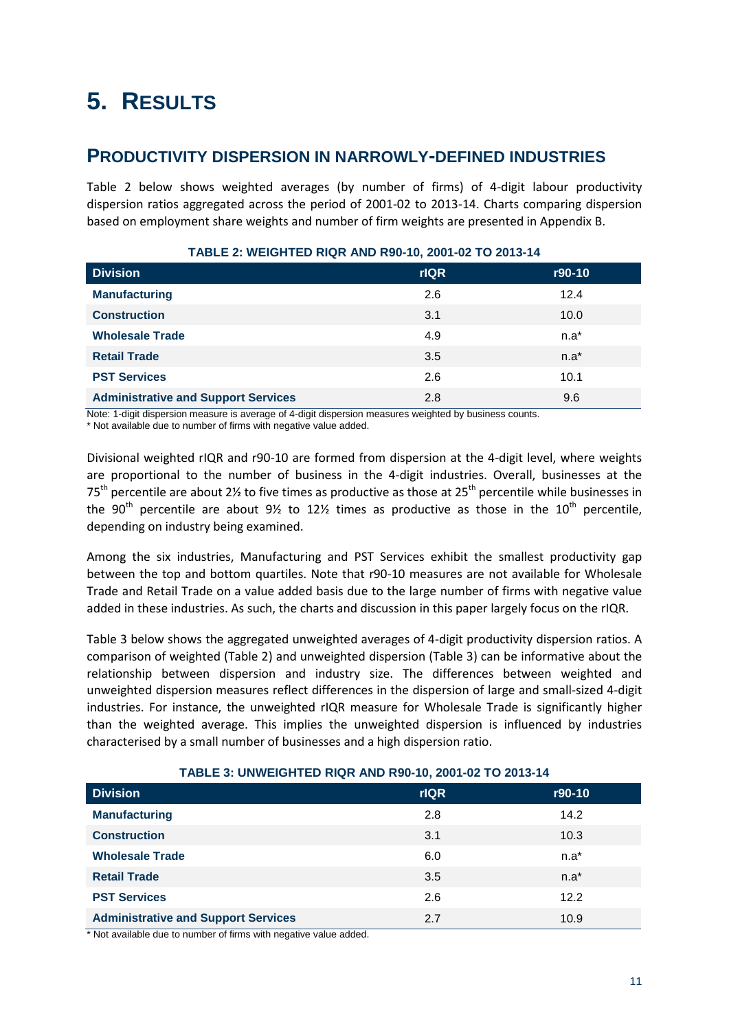# <span id="page-16-0"></span>**5. RESULTS**

## <span id="page-16-1"></span>**PRODUCTIVITY DISPERSION IN NARROWLY-DEFINED INDUSTRIES**

Table 2 below shows weighted averages (by number of firms) of 4-digit labour productivity dispersion ratios aggregated across the period of 2001-02 to 2013-14. Charts comparing dispersion based on employment share weights and number of firm weights are presented in Appendix B.

| <b>Division</b>                            | <b>rIQR</b> | r90-10 |
|--------------------------------------------|-------------|--------|
| <b>Manufacturing</b>                       | 2.6         | 12.4   |
| <b>Construction</b>                        | 3.1         | 10.0   |
| <b>Wholesale Trade</b>                     | 4.9         | $n.a*$ |
| <b>Retail Trade</b>                        | 3.5         | $n.a*$ |
| <b>PST Services</b>                        | 2.6         | 10.1   |
| <b>Administrative and Support Services</b> | 2.8         | 9.6    |

### **TABLE 2: WEIGHTED RIQR AND R90-10, 2001-02 TO 2013-14**

Note: 1-digit dispersion measure is average of 4-digit dispersion measures weighted by business counts.

\* Not available due to number of firms with negative value added.

Divisional weighted rIQR and r90-10 are formed from dispersion at the 4-digit level, where weights are proportional to the number of business in the 4-digit industries. Overall, businesses at the  $75<sup>th</sup>$  percentile are about 2% to five times as productive as those at 25<sup>th</sup> percentile while businesses in the 90<sup>th</sup> percentile are about 9½ to 12½ times as productive as those in the 10<sup>th</sup> percentile, depending on industry being examined.

Among the six industries, Manufacturing and PST Services exhibit the smallest productivity gap between the top and bottom quartiles. Note that r90-10 measures are not available for Wholesale Trade and Retail Trade on a value added basis due to the large number of firms with negative value added in these industries. As such, the charts and discussion in this paper largely focus on the rIQR.

Table 3 below shows the aggregated unweighted averages of 4-digit productivity dispersion ratios. A comparison of weighted (Table 2) and unweighted dispersion (Table 3) can be informative about the relationship between dispersion and industry size. The differences between weighted and unweighted dispersion measures reflect differences in the dispersion of large and small-sized 4-digit industries. For instance, the unweighted rIQR measure for Wholesale Trade is significantly higher than the weighted average. This implies the unweighted dispersion is influenced by industries characterised by a small number of businesses and a high dispersion ratio.

#### **TABLE 3: UNWEIGHTED RIQR AND R90-10, 2001-02 TO 2013-14**

| <b>Division</b>                            | <b>rIQR</b> | r90-10  |
|--------------------------------------------|-------------|---------|
| <b>Manufacturing</b>                       | 2.8         | 14.2    |
| <b>Construction</b>                        | 3.1         | 10.3    |
| <b>Wholesale Trade</b>                     | 6.0         | $n.a^*$ |
| <b>Retail Trade</b>                        | 3.5         | $n.a^*$ |
| <b>PST Services</b>                        | 2.6         | 12.2    |
| <b>Administrative and Support Services</b> | 2.7         | 10.9    |

\* Not available due to number of firms with negative value added.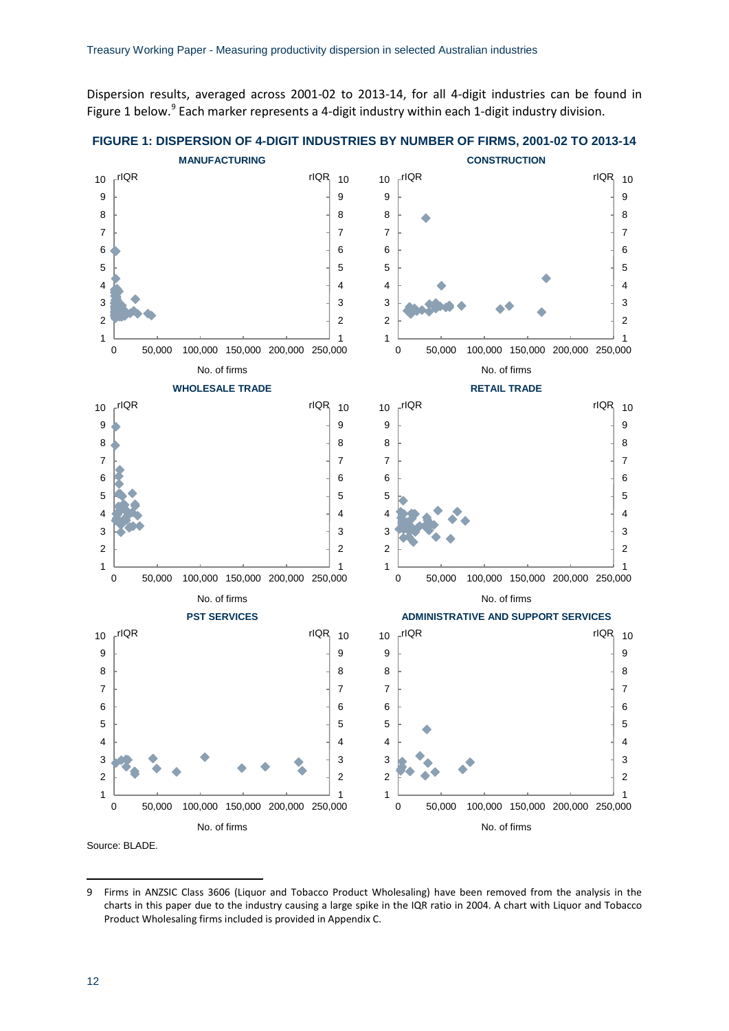Dispersion results, averaged across 2001-02 to 2013-14, for all 4-digit industries can be found in Figure 1 below. Each marker represents a 4-digit industry within each 1-digit industry division.





<span id="page-17-0"></span>**<sup>.</sup>**  Firms in ANZSIC Class 3606 (Liquor and Tobacco Product Wholesaling) have been removed from the analysis in the charts in this paper due to the industry causing a large spike in the IQR ratio in 2004. A chart with Liquor and Tobacco Product Wholesaling firms included is provided in Appendix C.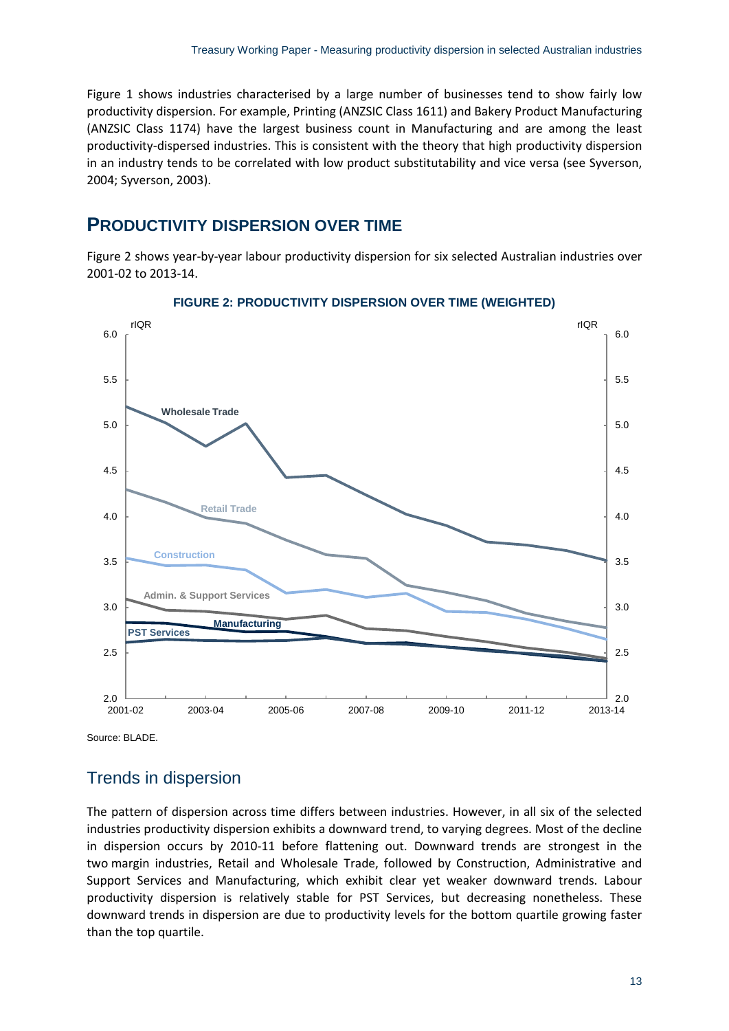Figure 1 shows industries characterised by a large number of businesses tend to show fairly low productivity dispersion. For example, Printing (ANZSIC Class 1611) and Bakery Product Manufacturing (ANZSIC Class 1174) have the largest business count in Manufacturing and are among the least productivity-dispersed industries. This is consistent with the theory that high productivity dispersion in an industry tends to be correlated with low product substitutability and vice versa (see Syverson, 2004; Syverson, 2003).

## <span id="page-18-0"></span>**PRODUCTIVITY DISPERSION OVER TIME**

Figure 2 shows year-by-year labour productivity dispersion for six selected Australian industries over 2001-02 to 2013-14.



#### **FIGURE 2: PRODUCTIVITY DISPERSION OVER TIME (WEIGHTED)**

Source: BLADE.

## Trends in dispersion

The pattern of dispersion across time differs between industries. However, in all six of the selected industries productivity dispersion exhibits a downward trend, to varying degrees. Most of the decline in dispersion occurs by 2010-11 before flattening out. Downward trends are strongest in the two margin industries, Retail and Wholesale Trade, followed by Construction, Administrative and Support Services and Manufacturing, which exhibit clear yet weaker downward trends. Labour productivity dispersion is relatively stable for PST Services, but decreasing nonetheless. These downward trends in dispersion are due to productivity levels for the bottom quartile growing faster than the top quartile.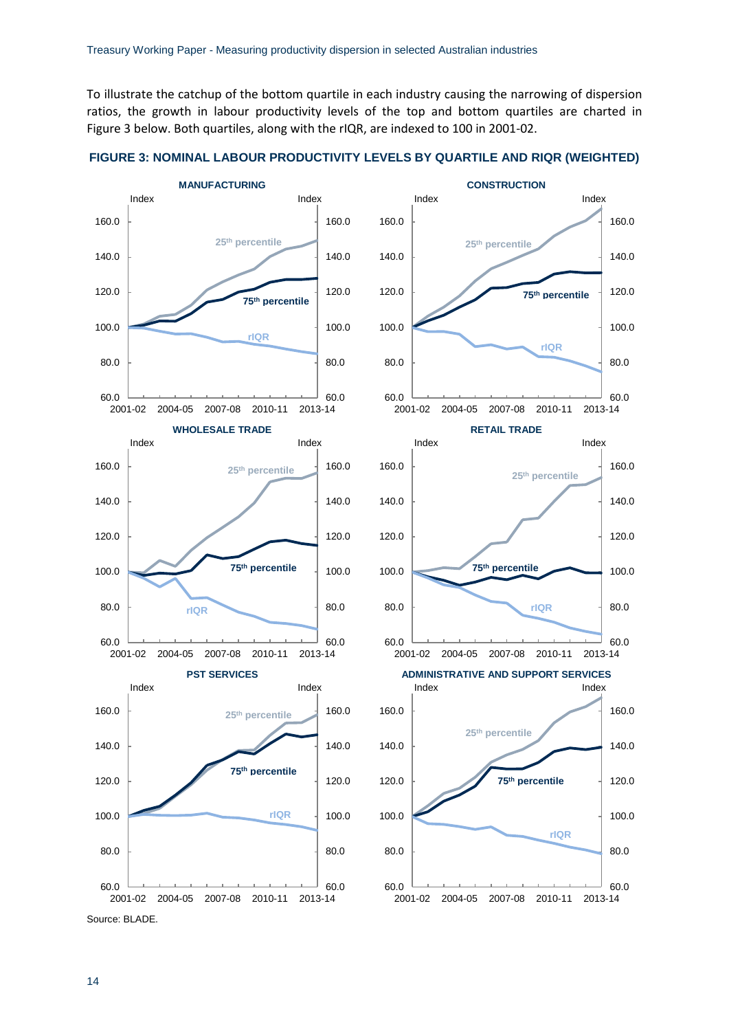To illustrate the catchup of the bottom quartile in each industry causing the narrowing of dispersion ratios, the growth in labour productivity levels of the top and bottom quartiles are charted in Figure 3 below. Both quartiles, along with the rIQR, are indexed to 100 in 2001-02.



**FIGURE 3: NOMINAL LABOUR PRODUCTIVITY LEVELS BY QUARTILE AND RIQR (WEIGHTED)**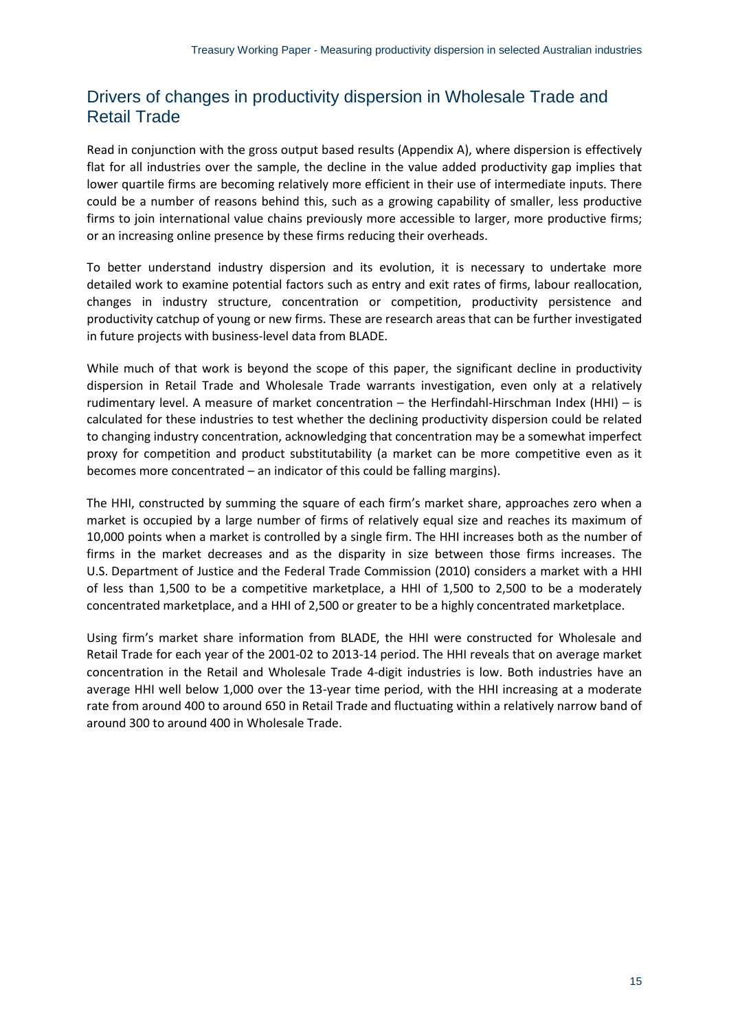## Drivers of changes in productivity dispersion in Wholesale Trade and Retail Trade

Read in conjunction with the gross output based results (Appendix A), where dispersion is effectively flat for all industries over the sample, the decline in the value added productivity gap implies that lower quartile firms are becoming relatively more efficient in their use of intermediate inputs. There could be a number of reasons behind this, such as a growing capability of smaller, less productive firms to join international value chains previously more accessible to larger, more productive firms; or an increasing online presence by these firms reducing their overheads.

To better understand industry dispersion and its evolution, it is necessary to undertake more detailed work to examine potential factors such as entry and exit rates of firms, labour reallocation, changes in industry structure, concentration or competition, productivity persistence and productivity catchup of young or new firms. These are research areas that can be further investigated in future projects with business-level data from BLADE.

While much of that work is beyond the scope of this paper, the significant decline in productivity dispersion in Retail Trade and Wholesale Trade warrants investigation, even only at a relatively rudimentary level. A measure of market concentration – the Herfindahl-Hirschman Index (HHI) – is calculated for these industries to test whether the declining productivity dispersion could be related to changing industry concentration, acknowledging that concentration may be a somewhat imperfect proxy for competition and product substitutability (a market can be more competitive even as it becomes more concentrated – an indicator of this could be falling margins).

The HHI, constructed by summing the square of each firm's market share, approaches zero when a market is occupied by a large number of firms of relatively equal size and reaches its maximum of 10,000 points when a market is controlled by a single firm. The HHI increases both as the number of firms in the market decreases and as the disparity in size between those firms increases. The U.S. Department of Justice and the Federal Trade Commission (2010) considers a market with a HHI of less than 1,500 to be a competitive marketplace, a HHI of 1,500 to 2,500 to be a moderately concentrated marketplace, and a HHI of 2,500 or greater to be a highly concentrated marketplace.

Using firm's market share information from BLADE, the HHI were constructed for Wholesale and Retail Trade for each year of the 2001-02 to 2013-14 period. The HHI reveals that on average market concentration in the Retail and Wholesale Trade 4-digit industries is low. Both industries have an average HHI well below 1,000 over the 13-year time period, with the HHI increasing at a moderate rate from around 400 to around 650 in Retail Trade and fluctuating within a relatively narrow band of around 300 to around 400 in Wholesale Trade.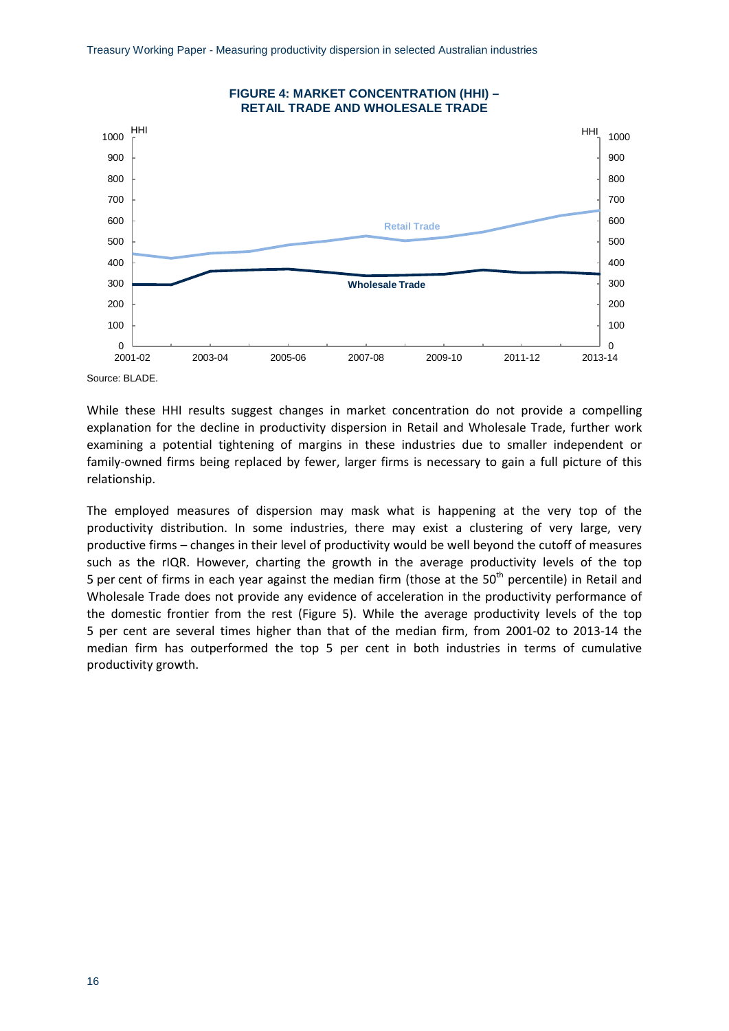

Source: BLADE.

While these HHI results suggest changes in market concentration do not provide a compelling explanation for the decline in productivity dispersion in Retail and Wholesale Trade, further work examining a potential tightening of margins in these industries due to smaller independent or family-owned firms being replaced by fewer, larger firms is necessary to gain a full picture of this relationship.

The employed measures of dispersion may mask what is happening at the very top of the productivity distribution. In some industries, there may exist a clustering of very large, very productive firms – changes in their level of productivity would be well beyond the cutoff of measures such as the rIQR. However, charting the growth in the average productivity levels of the top 5 per cent of firms in each year against the median firm (those at the  $50<sup>th</sup>$  percentile) in Retail and Wholesale Trade does not provide any evidence of acceleration in the productivity performance of the domestic frontier from the rest (Figure 5). While the average productivity levels of the top 5 per cent are several times higher than that of the median firm, from 2001-02 to 2013-14 the median firm has outperformed the top 5 per cent in both industries in terms of cumulative productivity growth.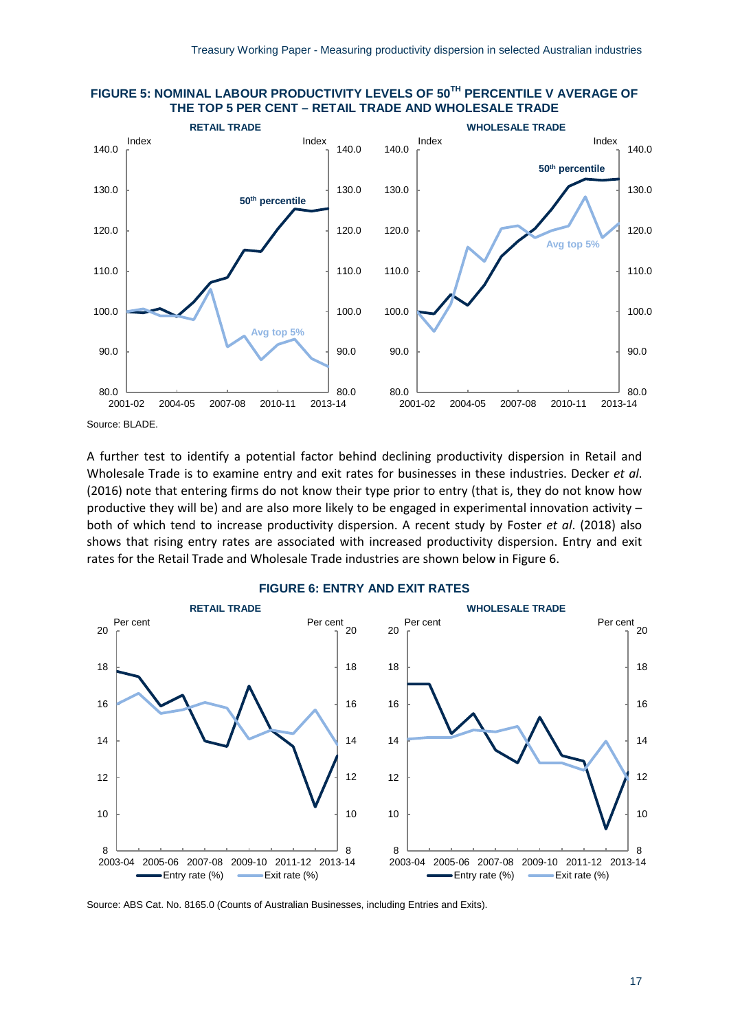

### **FIGURE 5: NOMINAL LABOUR PRODUCTIVITY LEVELS OF 50TH PERCENTILE V AVERAGE OF THE TOP 5 PER CENT – RETAIL TRADE AND WHOLESALE TRADE**

Source: BLADE.

A further test to identify a potential factor behind declining productivity dispersion in Retail and Wholesale Trade is to examine entry and exit rates for businesses in these industries. Decker *et al*. (2016) note that entering firms do not know their type prior to entry (that is, they do not know how productive they will be) and are also more likely to be engaged in experimental innovation activity – both of which tend to increase productivity dispersion. A recent study by Foster *et al*. (2018) also shows that rising entry rates are associated with increased productivity dispersion. Entry and exit rates for the Retail Trade and Wholesale Trade industries are shown below in Figure 6.



### **FIGURE 6: ENTRY AND EXIT RATES**

Source: ABS Cat. No. 8165.0 (Counts of Australian Businesses, including Entries and Exits).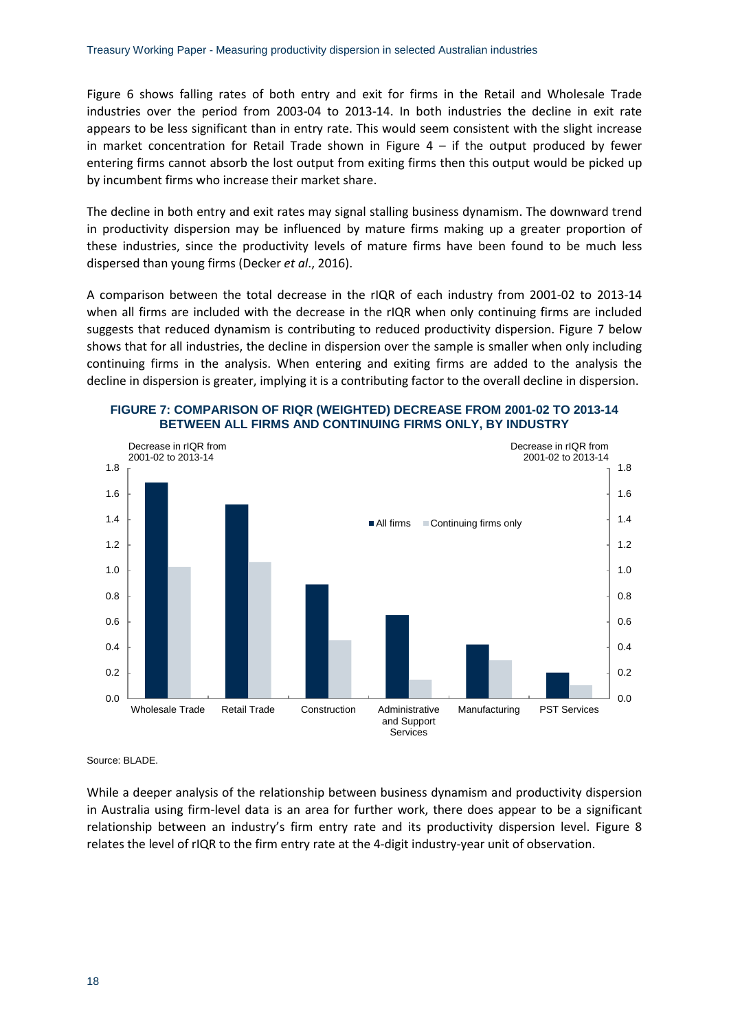Figure 6 shows falling rates of both entry and exit for firms in the Retail and Wholesale Trade industries over the period from 2003-04 to 2013-14. In both industries the decline in exit rate appears to be less significant than in entry rate. This would seem consistent with the slight increase in market concentration for Retail Trade shown in Figure  $4 -$  if the output produced by fewer entering firms cannot absorb the lost output from exiting firms then this output would be picked up by incumbent firms who increase their market share.

The decline in both entry and exit rates may signal stalling business dynamism. The downward trend in productivity dispersion may be influenced by mature firms making up a greater proportion of these industries, since the productivity levels of mature firms have been found to be much less dispersed than young firms (Decker *et al*., 2016).

A comparison between the total decrease in the rIQR of each industry from 2001-02 to 2013-14 when all firms are included with the decrease in the rIQR when only continuing firms are included suggests that reduced dynamism is contributing to reduced productivity dispersion. Figure 7 below shows that for all industries, the decline in dispersion over the sample is smaller when only including continuing firms in the analysis. When entering and exiting firms are added to the analysis the decline in dispersion is greater, implying it is a contributing factor to the overall decline in dispersion.





Source: BLADE.

While a deeper analysis of the relationship between business dynamism and productivity dispersion in Australia using firm-level data is an area for further work, there does appear to be a significant relationship between an industry's firm entry rate and its productivity dispersion level. Figure 8 relates the level of rIQR to the firm entry rate at the 4-digit industry-year unit of observation.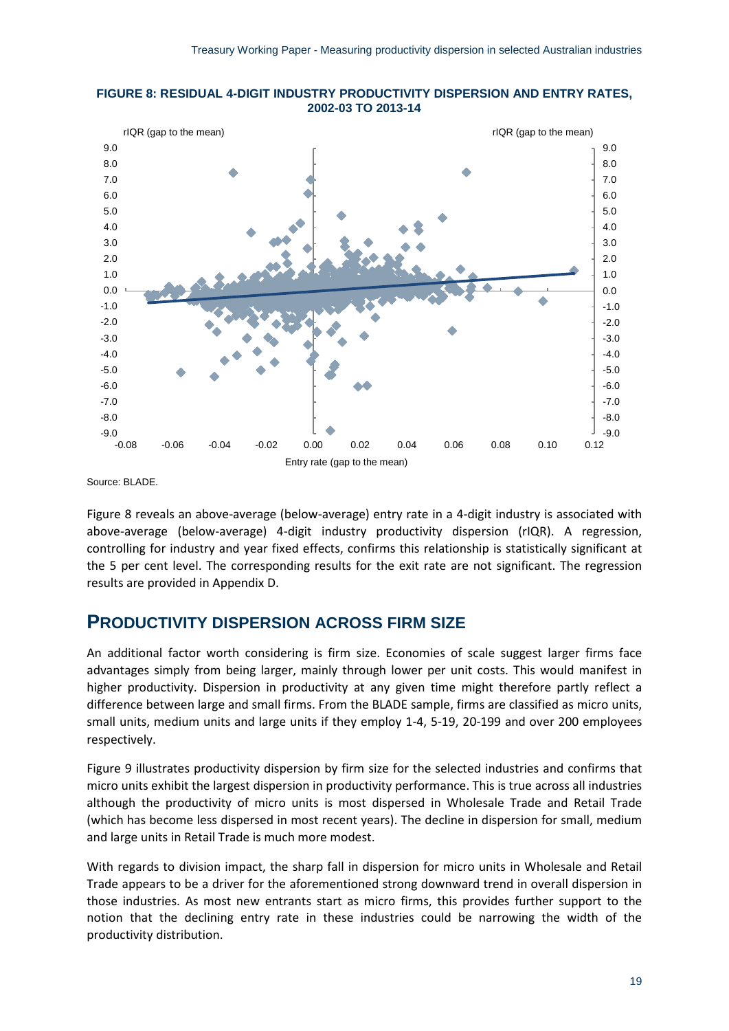



Source: BLADE.

Figure 8 reveals an above-average (below-average) entry rate in a 4-digit industry is associated with above-average (below-average) 4-digit industry productivity dispersion (rIQR). A regression, controlling for industry and year fixed effects, confirms this relationship is statistically significant at the 5 per cent level. The corresponding results for the exit rate are not significant. The regression results are provided in Appendix D.

## <span id="page-24-0"></span>**PRODUCTIVITY DISPERSION ACROSS FIRM SIZE**

An additional factor worth considering is firm size. Economies of scale suggest larger firms face advantages simply from being larger, mainly through lower per unit costs. This would manifest in higher productivity. Dispersion in productivity at any given time might therefore partly reflect a difference between large and small firms. From the BLADE sample, firms are classified as micro units, small units, medium units and large units if they employ 1-4, 5-19, 20-199 and over 200 employees respectively.

Figure 9 illustrates productivity dispersion by firm size for the selected industries and confirms that micro units exhibit the largest dispersion in productivity performance. This is true across all industries although the productivity of micro units is most dispersed in Wholesale Trade and Retail Trade (which has become less dispersed in most recent years). The decline in dispersion for small, medium and large units in Retail Trade is much more modest.

With regards to division impact, the sharp fall in dispersion for micro units in Wholesale and Retail Trade appears to be a driver for the aforementioned strong downward trend in overall dispersion in those industries. As most new entrants start as micro firms, this provides further support to the notion that the declining entry rate in these industries could be narrowing the width of the productivity distribution.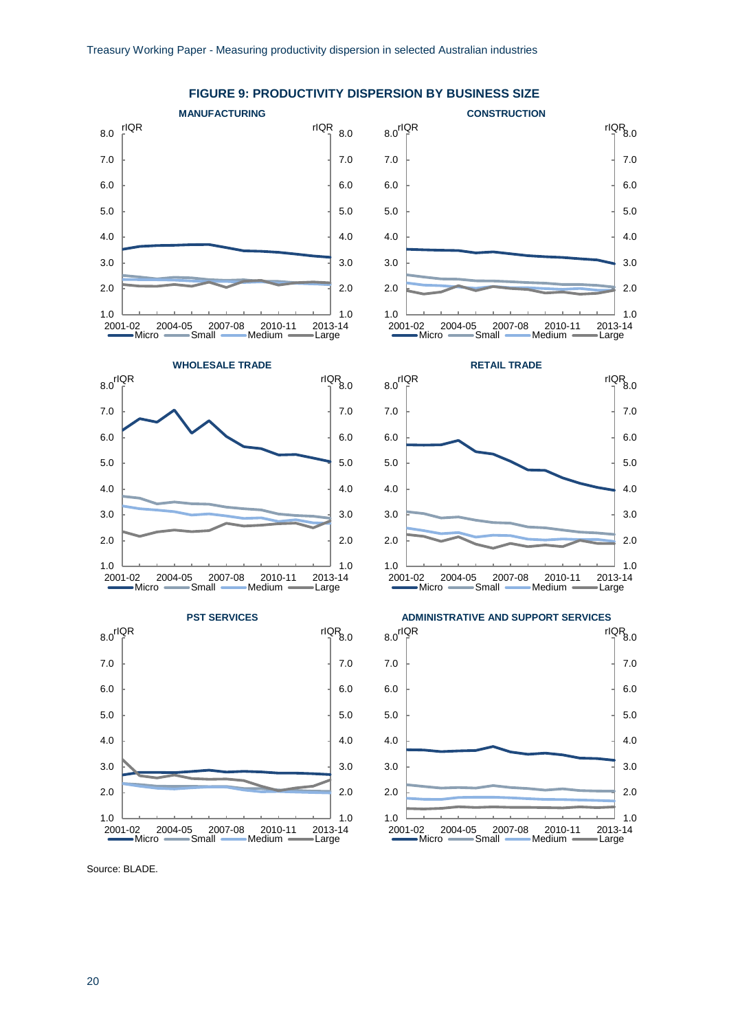

**FIGURE 9: PRODUCTIVITY DISPERSION BY BUSINESS SIZE**

Source: BLADE.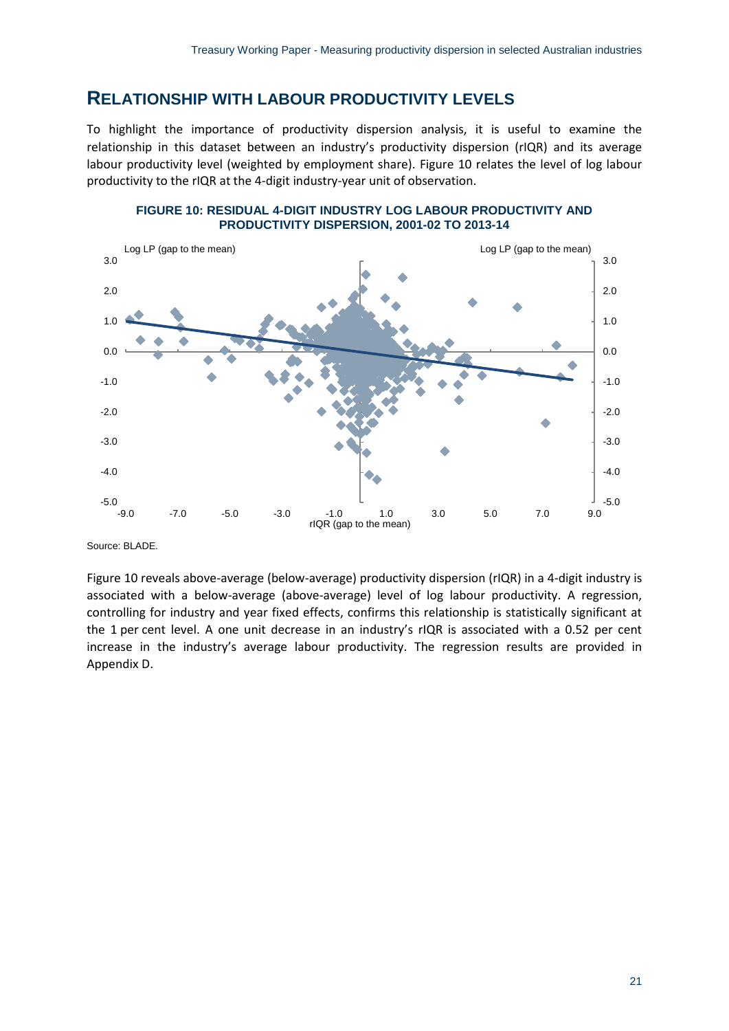## <span id="page-26-0"></span>**RELATIONSHIP WITH LABOUR PRODUCTIVITY LEVELS**

To highlight the importance of productivity dispersion analysis, it is useful to examine the relationship in this dataset between an industry's productivity dispersion (rIQR) and its average labour productivity level (weighted by employment share). Figure 10 relates the level of log labour productivity to the rIQR at the 4-digit industry-year unit of observation.



#### **FIGURE 10: RESIDUAL 4-DIGIT INDUSTRY LOG LABOUR PRODUCTIVITY AND PRODUCTIVITY DISPERSION, 2001-02 TO 2013-14**

Source: BLADE.

Figure 10 reveals above-average (below-average) productivity dispersion (rIQR) in a 4-digit industry is associated with a below-average (above-average) level of log labour productivity. A regression, controlling for industry and year fixed effects, confirms this relationship is statistically significant at the 1 per cent level. A one unit decrease in an industry's rIQR is associated with a 0.52 per cent increase in the industry's average labour productivity. The regression results are provided in Appendix D.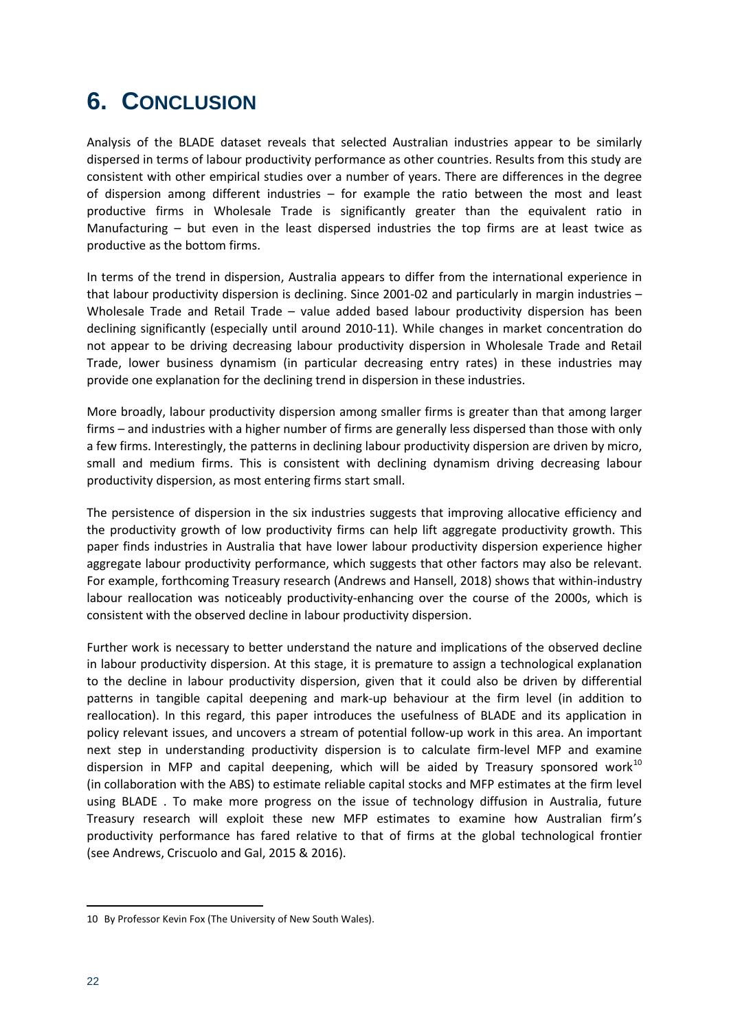# <span id="page-27-0"></span>**6. CONCLUSION**

Analysis of the BLADE dataset reveals that selected Australian industries appear to be similarly dispersed in terms of labour productivity performance as other countries. Results from this study are consistent with other empirical studies over a number of years. There are differences in the degree of dispersion among different industries – for example the ratio between the most and least productive firms in Wholesale Trade is significantly greater than the equivalent ratio in Manufacturing – but even in the least dispersed industries the top firms are at least twice as productive as the bottom firms.

In terms of the trend in dispersion, Australia appears to differ from the international experience in that labour productivity dispersion is declining. Since 2001-02 and particularly in margin industries – Wholesale Trade and Retail Trade – value added based labour productivity dispersion has been declining significantly (especially until around 2010-11). While changes in market concentration do not appear to be driving decreasing labour productivity dispersion in Wholesale Trade and Retail Trade, lower business dynamism (in particular decreasing entry rates) in these industries may provide one explanation for the declining trend in dispersion in these industries.

More broadly, labour productivity dispersion among smaller firms is greater than that among larger firms – and industries with a higher number of firms are generally less dispersed than those with only a few firms. Interestingly, the patterns in declining labour productivity dispersion are driven by micro, small and medium firms. This is consistent with declining dynamism driving decreasing labour productivity dispersion, as most entering firms start small.

The persistence of dispersion in the six industries suggests that improving allocative efficiency and the productivity growth of low productivity firms can help lift aggregate productivity growth. This paper finds industries in Australia that have lower labour productivity dispersion experience higher aggregate labour productivity performance, which suggests that other factors may also be relevant. For example, forthcoming Treasury research (Andrews and Hansell, 2018) shows that within-industry labour reallocation was noticeably productivity-enhancing over the course of the 2000s, which is consistent with the observed decline in labour productivity dispersion.

Further work is necessary to better understand the nature and implications of the observed decline in labour productivity dispersion. At this stage, it is premature to assign a technological explanation to the decline in labour productivity dispersion, given that it could also be driven by differential patterns in tangible capital deepening and mark-up behaviour at the firm level (in addition to reallocation). In this regard, this paper introduces the usefulness of BLADE and its application in policy relevant issues, and uncovers a stream of potential follow-up work in this area. An important next step in understanding productivity dispersion is to calculate firm-level MFP and examine dispersion in MFP and capital deepening, which will be aided by Treasury sponsored work<sup>[10](#page-27-1)</sup> (in collaboration with the ABS) to estimate reliable capital stocks and MFP estimates at the firm level using BLADE . To make more progress on the issue of technology diffusion in Australia, future Treasury research will exploit these new MFP estimates to examine how Australian firm's productivity performance has fared relative to that of firms at the global technological frontier (see Andrews, Criscuolo and Gal, 2015 & 2016).

 $\overline{\phantom{a}}$ 

<span id="page-27-1"></span><sup>10</sup> By Professor Kevin Fox (The University of New South Wales).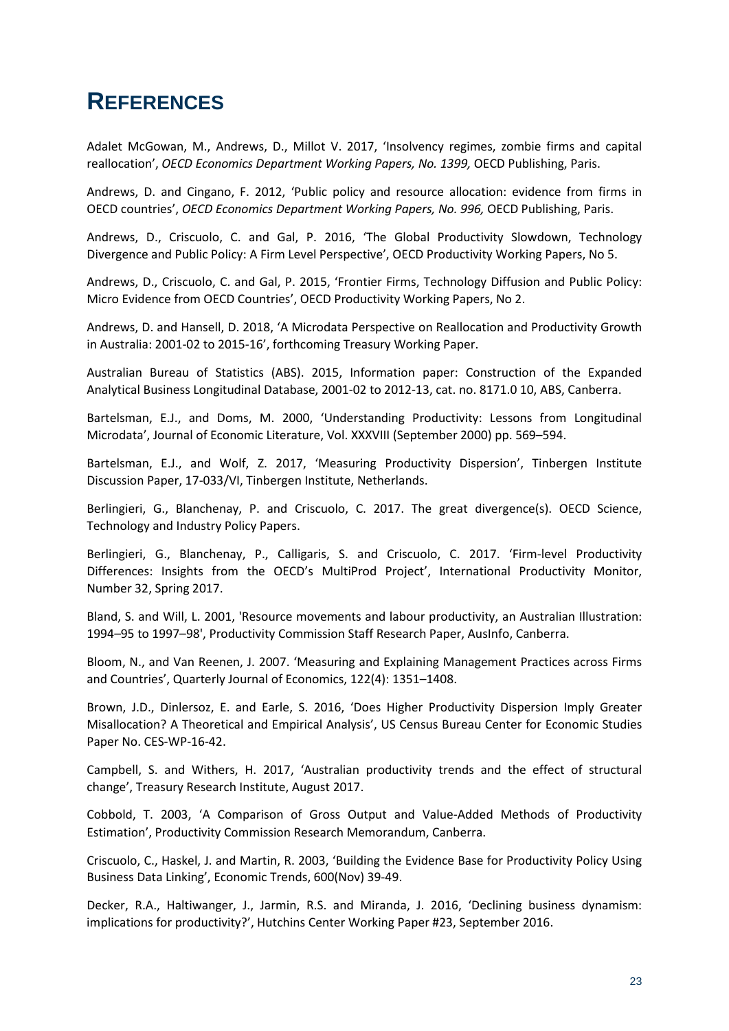## <span id="page-28-0"></span>**REFERENCES**

Adalet McGowan, M., Andrews, D., Millot V. 2017, 'Insolvency regimes, zombie firms and capital reallocation', *OECD Economics Department Working Papers, No. 1399,* OECD Publishing, Paris.

Andrews, D. and Cingano, F. 2012, 'Public policy and resource allocation: evidence from firms in OECD countries', *OECD Economics Department Working Papers, No. 996,* OECD Publishing, Paris.

Andrews, D., Criscuolo, C. and Gal, P. 2016, 'The Global Productivity Slowdown, Technology Divergence and Public Policy: A Firm Level Perspective', OECD Productivity Working Papers, No 5.

Andrews, D., Criscuolo, C. and Gal, P. 2015, 'Frontier Firms, Technology Diffusion and Public Policy: Micro Evidence from OECD Countries', OECD Productivity Working Papers, No 2.

Andrews, D. and Hansell, D. 2018, 'A Microdata Perspective on Reallocation and Productivity Growth in Australia: 2001-02 to 2015-16', forthcoming Treasury Working Paper.

Australian Bureau of Statistics (ABS). 2015, Information paper: Construction of the Expanded Analytical Business Longitudinal Database, 2001-02 to 2012-13, cat. no. 8171.0 10, ABS, Canberra.

Bartelsman, E.J., and Doms, M. 2000, 'Understanding Productivity: Lessons from Longitudinal Microdata', Journal of Economic Literature, Vol. XXXVIII (September 2000) pp. 569–594.

Bartelsman, E.J., and Wolf, Z. 2017, 'Measuring Productivity Dispersion', Tinbergen Institute Discussion Paper, 17-033/VI, Tinbergen Institute, Netherlands.

Berlingieri, G., Blanchenay, P. and Criscuolo, C. 2017. The great divergence(s). OECD Science, Technology and Industry Policy Papers.

Berlingieri, G., Blanchenay, P., Calligaris, S. and Criscuolo, C. 2017. 'Firm-level Productivity Differences: Insights from the OECD's MultiProd Project', International Productivity Monitor, Number 32, Spring 2017.

Bland, S. and Will, L. 2001, 'Resource movements and labour productivity, an Australian Illustration: 1994–95 to 1997–98', Productivity Commission Staff Research Paper, AusInfo, Canberra.

Bloom, N., and Van Reenen, J. 2007. 'Measuring and Explaining Management Practices across Firms and Countries', Quarterly Journal of Economics, 122(4): 1351–1408.

Brown, J.D., Dinlersoz, E. and Earle, S. 2016, 'Does Higher Productivity Dispersion Imply Greater Misallocation? A Theoretical and Empirical Analysis', US Census Bureau Center for Economic Studies Paper No. CES-WP-16-42.

Campbell, S. and Withers, H. 2017, 'Australian productivity trends and the effect of structural change', Treasury Research Institute, August 2017.

Cobbold, T. 2003, 'A Comparison of Gross Output and Value-Added Methods of Productivity Estimation', Productivity Commission Research Memorandum, Canberra.

Criscuolo, C., Haskel, J. and Martin, R. 2003, 'Building the Evidence Base for Productivity Policy Using Business Data Linking', Economic Trends, 600(Nov) 39-49.

Decker, R.A., Haltiwanger, J., Jarmin, R.S. and Miranda, J. 2016, 'Declining business dynamism: implications for productivity?', Hutchins Center Working Paper #23, September 2016.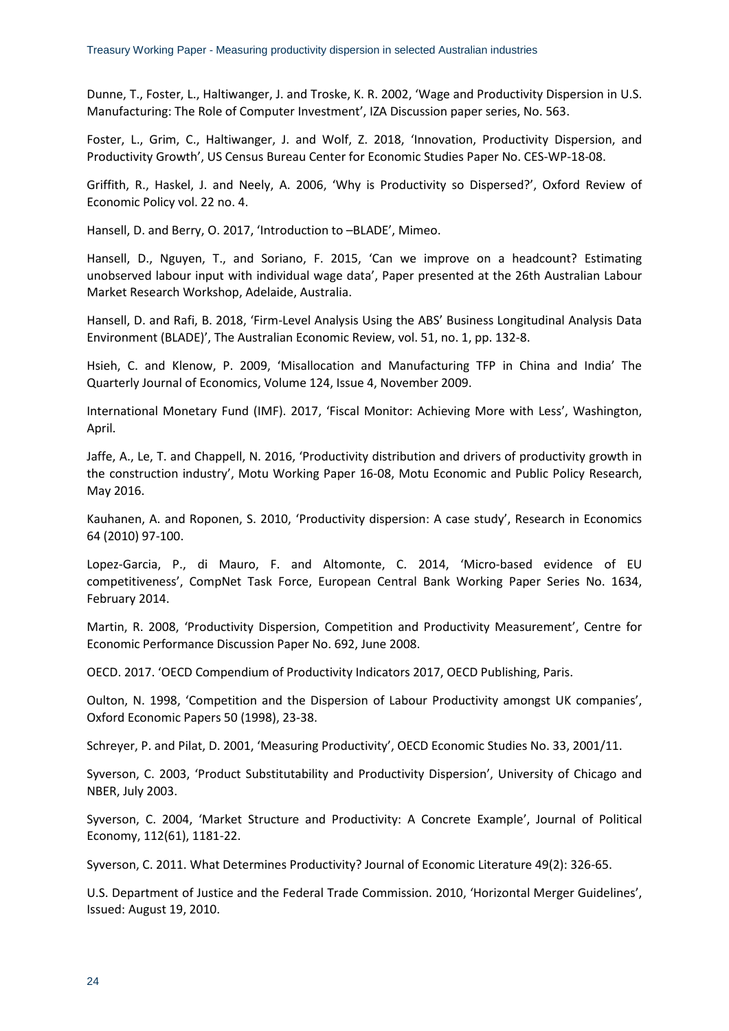Dunne, T., Foster, L., Haltiwanger, J. and Troske, K. R. 2002, 'Wage and Productivity Dispersion in U.S. Manufacturing: The Role of Computer Investment', IZA Discussion paper series, No. 563.

Foster, L., Grim, C., Haltiwanger, J. and Wolf, Z. 2018, 'Innovation, Productivity Dispersion, and Productivity Growth', US Census Bureau Center for Economic Studies Paper No. CES-WP-18-08.

Griffith, R., Haskel, J. and Neely, A. 2006, 'Why is Productivity so Dispersed?', Oxford Review of Economic Policy vol. 22 no. 4.

Hansell, D. and Berry, O. 2017, 'Introduction to –BLADE', Mimeo.

Hansell, D., Nguyen, T., and Soriano, F. 2015, 'Can we improve on a headcount? Estimating unobserved labour input with individual wage data', Paper presented at the 26th Australian Labour Market Research Workshop, Adelaide, Australia.

Hansell, D. and Rafi, B. 2018, 'Firm-Level Analysis Using the ABS' Business Longitudinal Analysis Data Environment (BLADE)', The Australian Economic Review, vol. 51, no. 1, pp. 132-8.

Hsieh, C. and Klenow, P. 2009, 'Misallocation and Manufacturing TFP in China and India' The Quarterly Journal of Economics, Volume 124, Issue 4, November 2009.

International Monetary Fund (IMF). 2017, 'Fiscal Monitor: Achieving More with Less', Washington, April.

Jaffe, A., Le, T. and Chappell, N. 2016, 'Productivity distribution and drivers of productivity growth in the construction industry', Motu Working Paper 16-08, Motu Economic and Public Policy Research, May 2016.

Kauhanen, A. and Roponen, S. 2010, 'Productivity dispersion: A case study', Research in Economics 64 (2010) 97-100.

Lopez-Garcia, P., di Mauro, F. and Altomonte, C. 2014, 'Micro-based evidence of EU competitiveness', CompNet Task Force, European Central Bank Working Paper Series No. 1634, February 2014.

Martin, R. 2008, 'Productivity Dispersion, Competition and Productivity Measurement', Centre for Economic Performance Discussion Paper No. 692, June 2008.

OECD. 2017. 'OECD Compendium of Productivity Indicators 2017, OECD Publishing, Paris.

Oulton, N. 1998, 'Competition and the Dispersion of Labour Productivity amongst UK companies', Oxford Economic Papers 50 (1998), 23-38.

Schreyer, P. and Pilat, D. 2001, 'Measuring Productivity', OECD Economic Studies No. 33, 2001/11.

Syverson, C. 2003, 'Product Substitutability and Productivity Dispersion', University of Chicago and NBER, July 2003.

Syverson, C. 2004, 'Market Structure and Productivity: A Concrete Example', Journal of Political Economy, 112(61), 1181-22.

Syverson, C. 2011. What Determines Productivity? Journal of Economic Literature 49(2): 326-65.

U.S. Department of Justice and the Federal Trade Commission. 2010, 'Horizontal Merger Guidelines', Issued: August 19, 2010.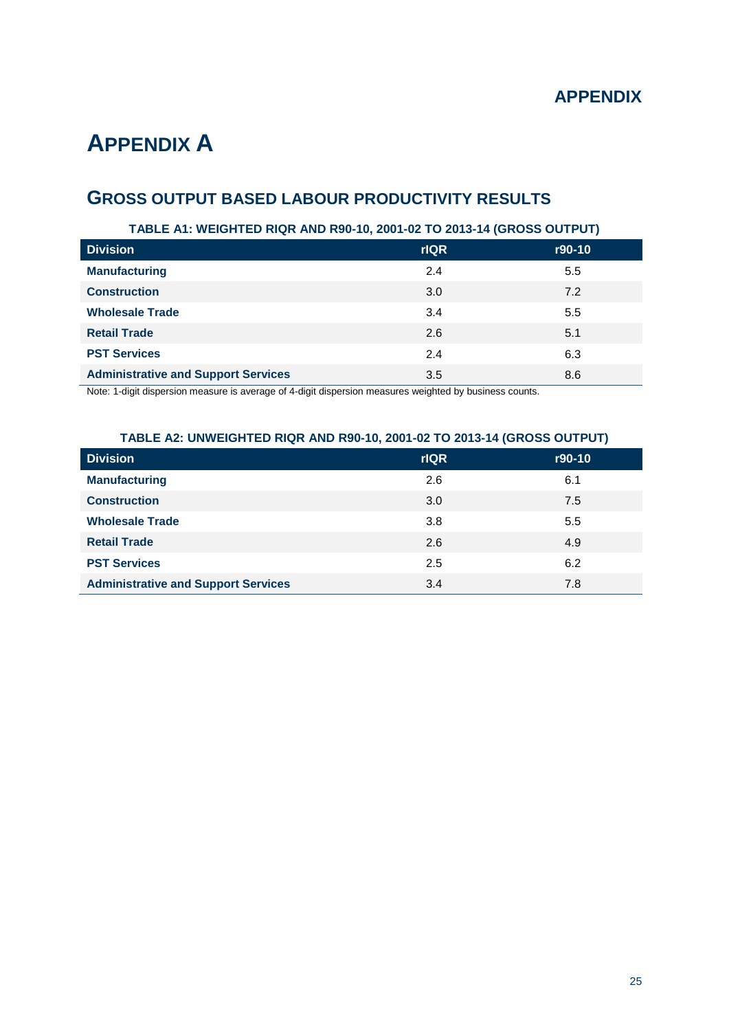# <span id="page-30-0"></span>**APPENDIX A**

## **GROSS OUTPUT BASED LABOUR PRODUCTIVITY RESULTS**

## **TABLE A1: WEIGHTED RIQR AND R90-10, 2001-02 TO 2013-14 (GROSS OUTPUT)**

| <b>Division</b>                            | <b>rIQR</b> | r90-10 |
|--------------------------------------------|-------------|--------|
| <b>Manufacturing</b>                       | 2.4         | 5.5    |
| <b>Construction</b>                        | 3.0         | 7.2    |
| <b>Wholesale Trade</b>                     | 3.4         | 5.5    |
| <b>Retail Trade</b>                        | 2.6         | 5.1    |
| <b>PST Services</b>                        | 2.4         | 6.3    |
| <b>Administrative and Support Services</b> | 3.5         | 8.6    |

Note: 1-digit dispersion measure is average of 4-digit dispersion measures weighted by business counts.

### **TABLE A2: UNWEIGHTED RIQR AND R90-10, 2001-02 TO 2013-14 (GROSS OUTPUT)**

| <b>Division</b>                            | <b>rIQR</b> | r90-10 |
|--------------------------------------------|-------------|--------|
| <b>Manufacturing</b>                       | 2.6         | 6.1    |
| <b>Construction</b>                        | 3.0         | 7.5    |
| <b>Wholesale Trade</b>                     | 3.8         | 5.5    |
| <b>Retail Trade</b>                        | 2.6         | 4.9    |
| <b>PST Services</b>                        | 2.5         | 6.2    |
| <b>Administrative and Support Services</b> | 3.4         | 7.8    |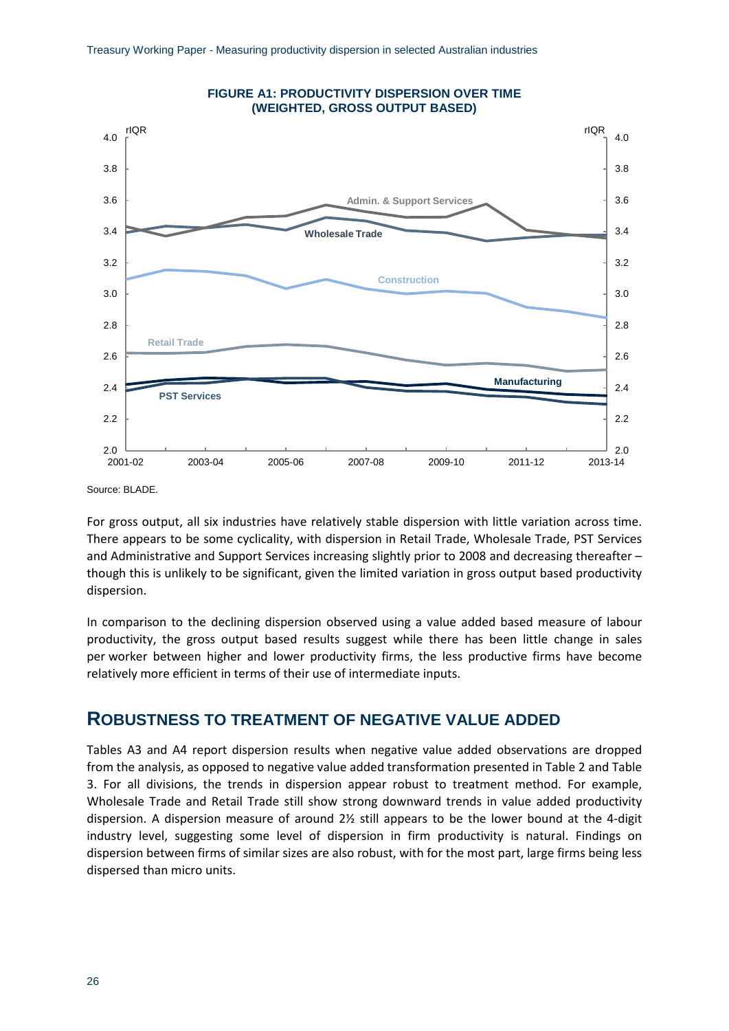

Source: BLADE.

For gross output, all six industries have relatively stable dispersion with little variation across time. There appears to be some cyclicality, with dispersion in Retail Trade, Wholesale Trade, PST Services and Administrative and Support Services increasing slightly prior to 2008 and decreasing thereafter – though this is unlikely to be significant, given the limited variation in gross output based productivity dispersion.

In comparison to the declining dispersion observed using a value added based measure of labour productivity, the gross output based results suggest while there has been little change in sales per worker between higher and lower productivity firms, the less productive firms have become relatively more efficient in terms of their use of intermediate inputs.

## **ROBUSTNESS TO TREATMENT OF NEGATIVE VALUE ADDED**

Tables A3 and A4 report dispersion results when negative value added observations are dropped from the analysis, as opposed to negative value added transformation presented in Table 2 and Table 3. For all divisions, the trends in dispersion appear robust to treatment method. For example, Wholesale Trade and Retail Trade still show strong downward trends in value added productivity dispersion. A dispersion measure of around 2½ still appears to be the lower bound at the 4-digit industry level, suggesting some level of dispersion in firm productivity is natural. Findings on dispersion between firms of similar sizes are also robust, with for the most part, large firms being less dispersed than micro units.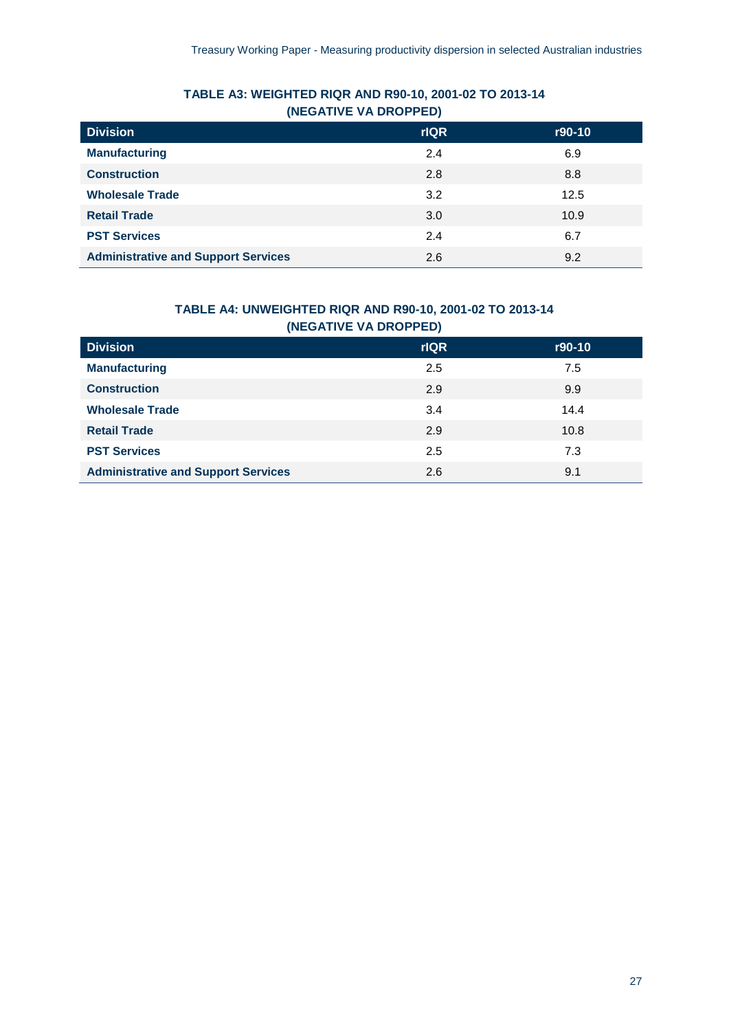## **TABLE A3: WEIGHTED RIQR AND R90-10, 2001-02 TO 2013-14 (NEGATIVE VA DROPPED)**

| <b>Division</b>                            | <b>rIQR</b> | r90-10 |
|--------------------------------------------|-------------|--------|
| <b>Manufacturing</b>                       | 2.4         | 6.9    |
| <b>Construction</b>                        | 2.8         | 8.8    |
| <b>Wholesale Trade</b>                     | 3.2         | 12.5   |
| <b>Retail Trade</b>                        | 3.0         | 10.9   |
| <b>PST Services</b>                        | 2.4         | 6.7    |
| <b>Administrative and Support Services</b> | 2.6         | 9.2    |

## **TABLE A4: UNWEIGHTED RIQR AND R90-10, 2001-02 TO 2013-14 (NEGATIVE VA DROPPED)**

| <b>Division</b>                            | <b>rIQR</b> | r90-10 |
|--------------------------------------------|-------------|--------|
| <b>Manufacturing</b>                       | 2.5         | 7.5    |
| <b>Construction</b>                        | 2.9         | 9.9    |
| <b>Wholesale Trade</b>                     | 3.4         | 14.4   |
| <b>Retail Trade</b>                        | 2.9         | 10.8   |
| <b>PST Services</b>                        | 2.5         | 7.3    |
| <b>Administrative and Support Services</b> | 2.6         | 9.1    |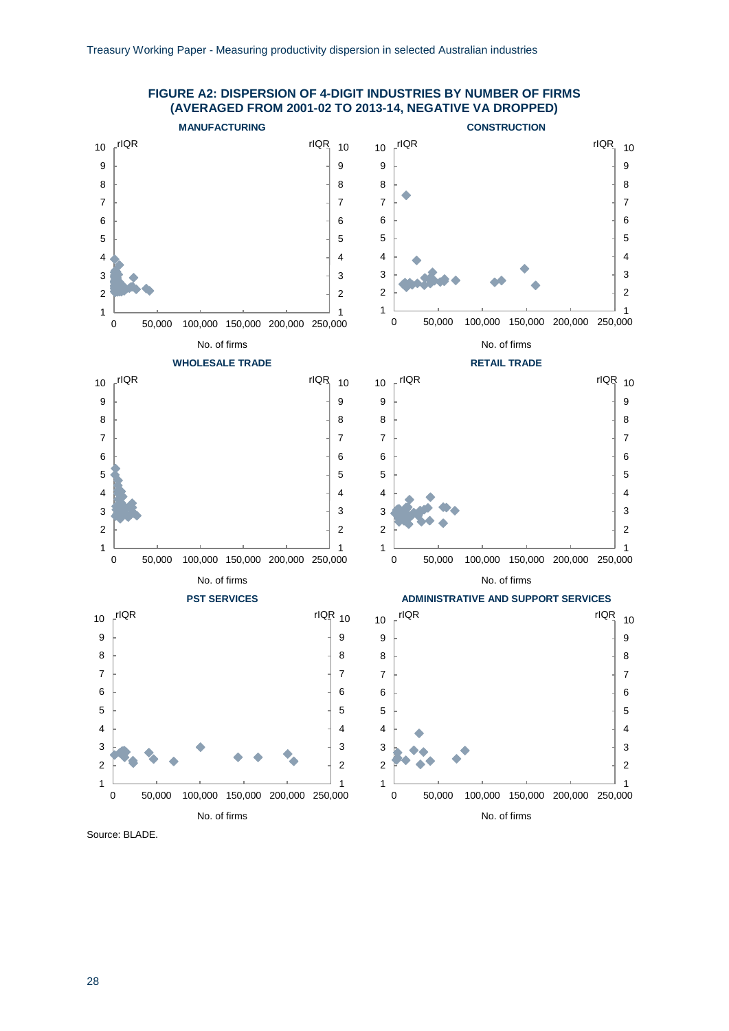

#### **FIGURE A2: DISPERSION OF 4-DIGIT INDUSTRIES BY NUMBER OF FIRMS (AVERAGED FROM 2001-02 TO 2013-14, NEGATIVE VA DROPPED)**

Source: BLADE.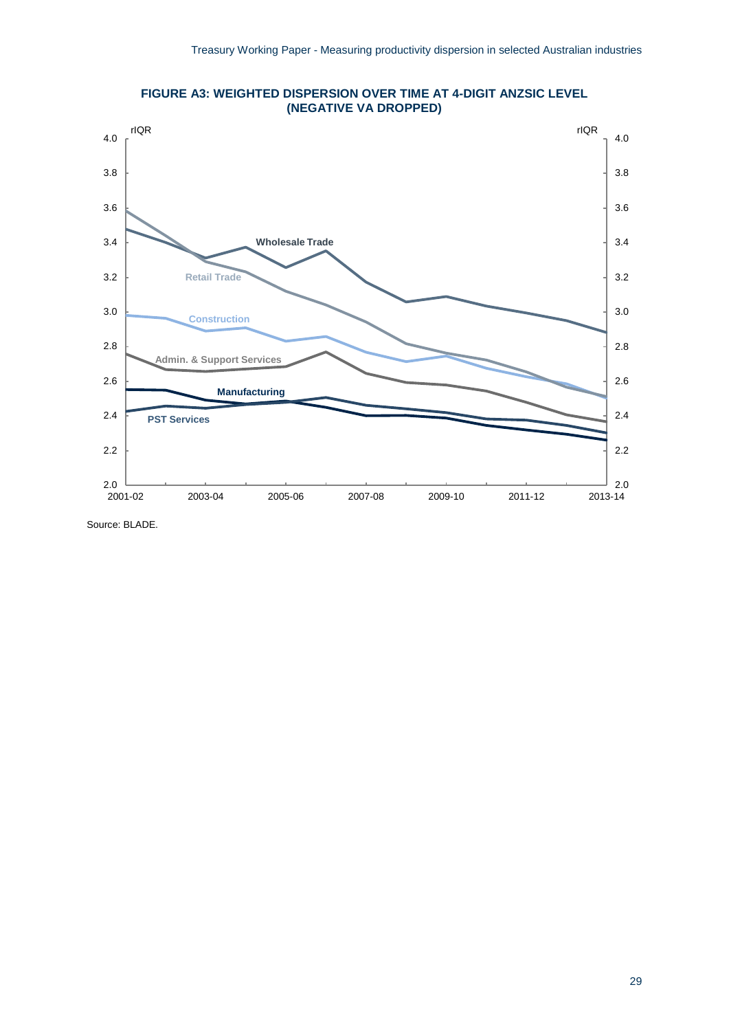

**FIGURE A3: WEIGHTED DISPERSION OVER TIME AT 4-DIGIT ANZSIC LEVEL (NEGATIVE VA DROPPED)**

Source: BLADE.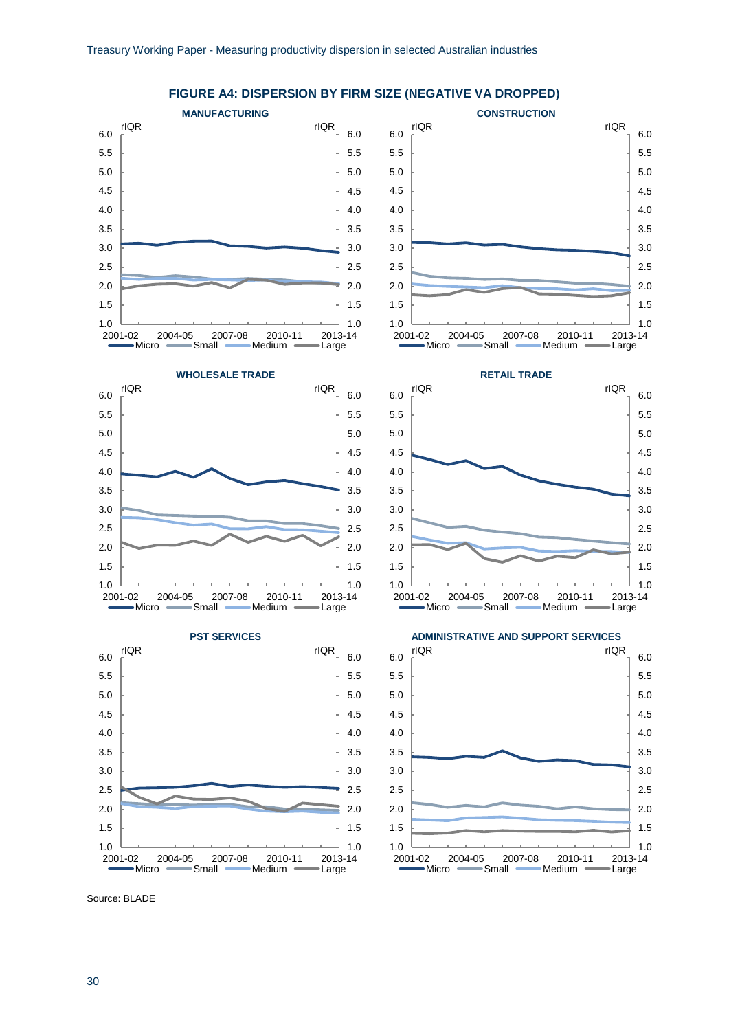

#### **FIGURE A4: DISPERSION BY FIRM SIZE (NEGATIVE VA DROPPED)**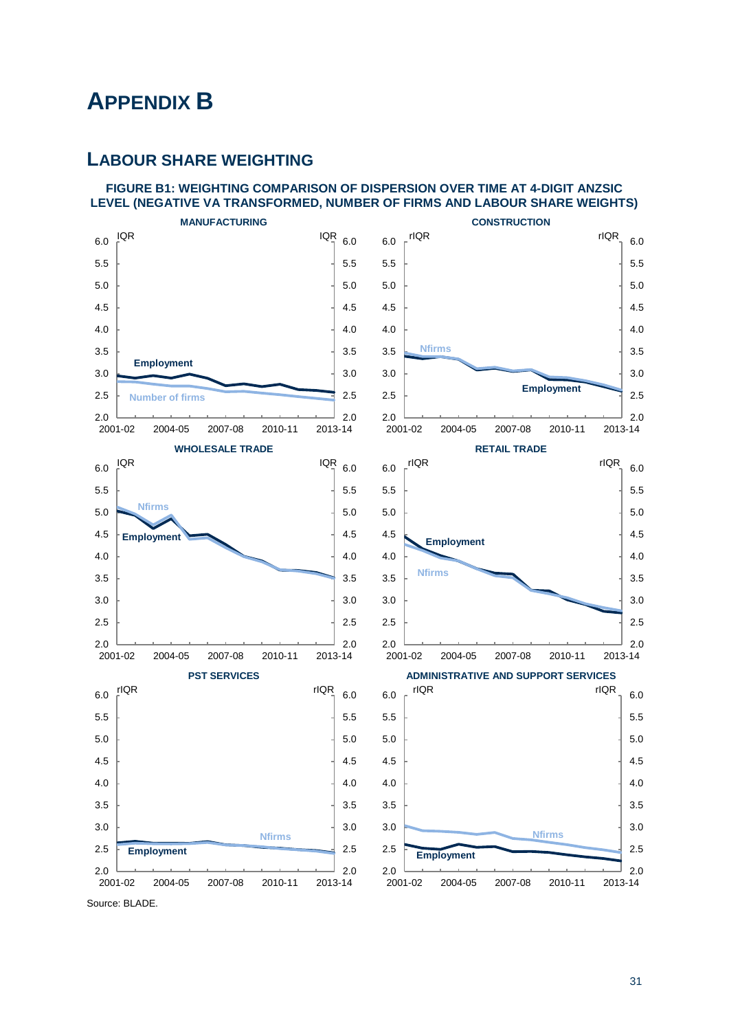## <span id="page-36-0"></span>**APPENDIX B**

## **LABOUR SHARE WEIGHTING**

#### **FIGURE B1: WEIGHTING COMPARISON OF DISPERSION OVER TIME AT 4-DIGIT ANZSIC LEVEL (NEGATIVE VA TRANSFORMED, NUMBER OF FIRMS AND LABOUR SHARE WEIGHTS)**



Source: BLADE.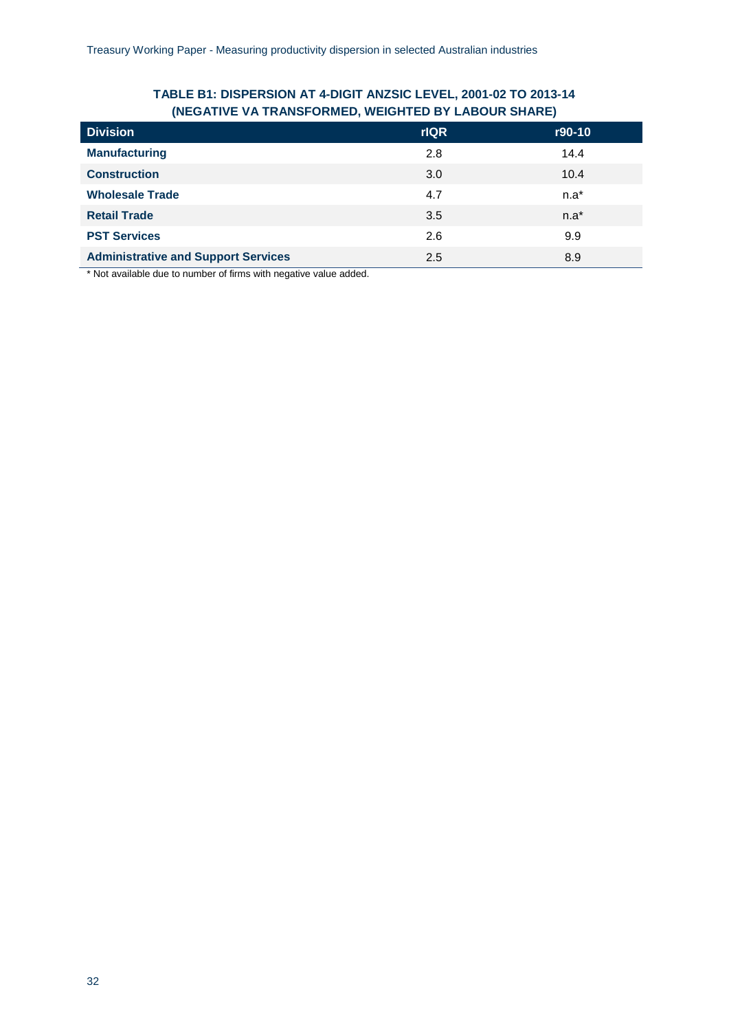## **TABLE B1: DISPERSION AT 4-DIGIT ANZSIC LEVEL, 2001-02 TO 2013-14 (NEGATIVE VA TRANSFORMED, WEIGHTED BY LABOUR SHARE)**

| <b>Division</b>                            | <b>rIQR</b> | r90-10 |
|--------------------------------------------|-------------|--------|
| <b>Manufacturing</b>                       | 2.8         | 14.4   |
| <b>Construction</b>                        | 3.0         | 10.4   |
| <b>Wholesale Trade</b>                     | 4.7         | $n.a*$ |
| <b>Retail Trade</b>                        | 3.5         | $n.a*$ |
| <b>PST Services</b>                        | 2.6         | 9.9    |
| <b>Administrative and Support Services</b> | 2.5         | 8.9    |

\* Not available due to number of firms with negative value added.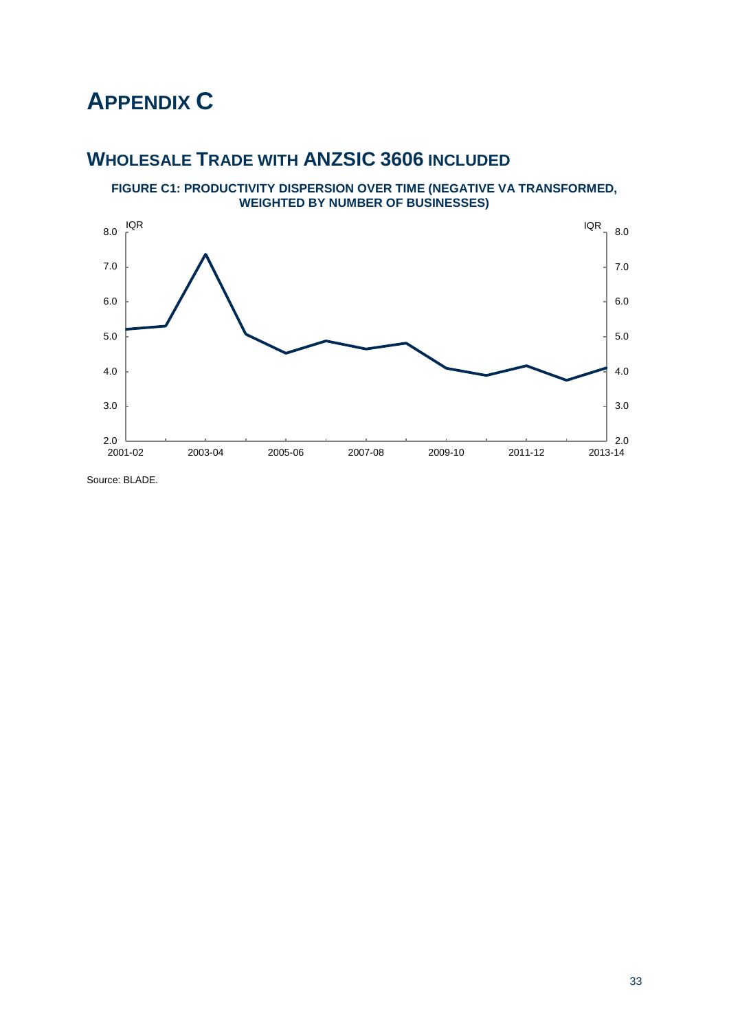# <span id="page-38-0"></span>**APPENDIX C**

## **WHOLESALE TRADE WITH ANZSIC 3606 INCLUDED**

**FIGURE C1: PRODUCTIVITY DISPERSION OVER TIME (NEGATIVE VA TRANSFORMED, WEIGHTED BY NUMBER OF BUSINESSES)**



Source: BLADE.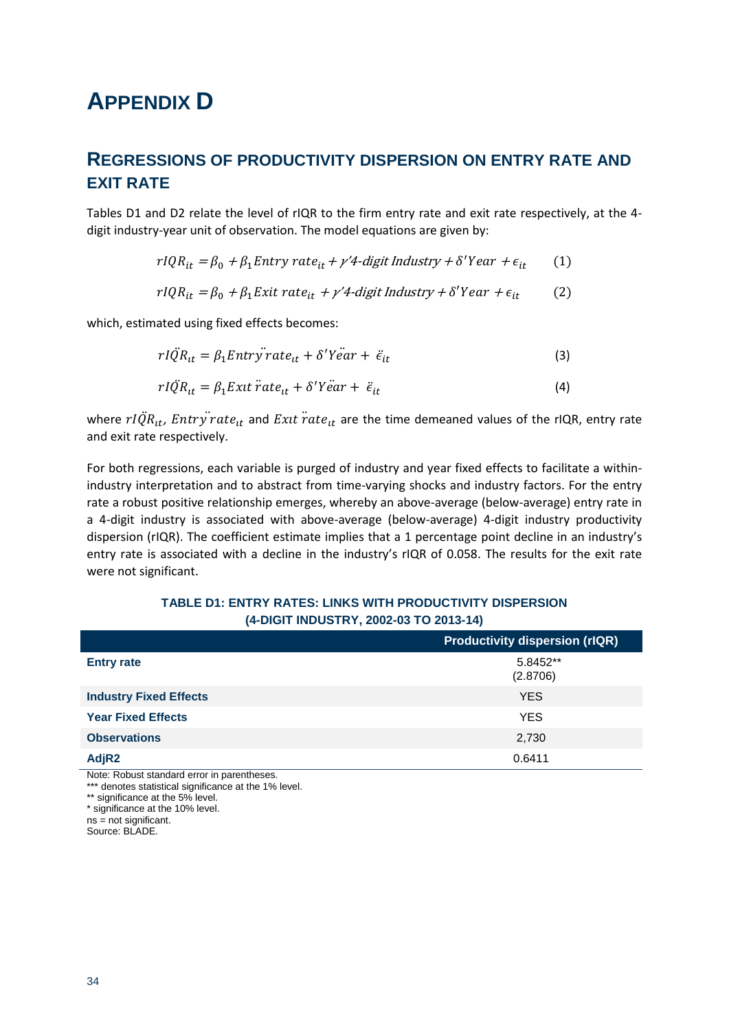# <span id="page-39-0"></span>**APPENDIX D**

## **REGRESSIONS OF PRODUCTIVITY DISPERSION ON ENTRY RATE AND EXIT RATE**

Tables D1 and D2 relate the level of rIQR to the firm entry rate and exit rate respectively, at the 4 digit industry-year unit of observation. The model equations are given by:

$$
rIQR_{it} = \beta_0 + \beta_1 Entry\ rate_{it} + \gamma' 4\ \text{digit Industry} + \delta' Year + \epsilon_{it} \tag{1}
$$

$$
rIQR_{it} = \beta_0 + \beta_1 Exit \ rate_{it} + \gamma' 4 \ \text{digit Industry} + \delta' Year + \epsilon_{it} \tag{2}
$$

which, estimated using fixed effects becomes:

$$
rI\ddot{Q}R_{it} = \beta_1 Entry\ddot{r}ate_{it} + \delta'Y\ddot{e}ar + \ddot{\epsilon}_{it}
$$
\n(3)

$$
rI\ddot{Q}R_{tt} = \beta_1 Extt \ddot{r}ate_{tt} + \delta'Y\ddot{e}ar + \ddot{\epsilon}_{it}
$$
\n(4)

where  $rIQR_{it}$ , Entry rate<sub>it</sub> and Exit rate<sub>it</sub> are the time demeaned values of the rIQR, entry rate and exit rate respectively.

For both regressions, each variable is purged of industry and year fixed effects to facilitate a withinindustry interpretation and to abstract from time-varying shocks and industry factors. For the entry rate a robust positive relationship emerges, whereby an above-average (below-average) entry rate in a 4-digit industry is associated with above-average (below-average) 4-digit industry productivity dispersion (rIQR). The coefficient estimate implies that a 1 percentage point decline in an industry's entry rate is associated with a decline in the industry's rIQR of 0.058. The results for the exit rate were not significant.

|                                  | <b>Productivity dispersion (rIQR)</b> |
|----------------------------------|---------------------------------------|
| <b>Entry rate</b>                | 5.8452**<br>(2.8706)                  |
| <b>Industry Fixed Effects</b>    | <b>YES</b>                            |
| <b>Year Fixed Effects</b>        | <b>YES</b>                            |
| <b>Observations</b>              | 2,730                                 |
| AdjR2<br>$\sim$<br>$\sim$ $\sim$ | 0.6411                                |

#### **TABLE D1: ENTRY RATES: LINKS WITH PRODUCTIVITY DISPERSION (4-DIGIT INDUSTRY, 2002-03 TO 2013-14)**

Note: Robust standard error in parentheses.

\*\*\* denotes statistical significance at the 1% level.

\*\* significance at the 5% level. \* significance at the 10% level.

ns = not significant.

Source: BLADE.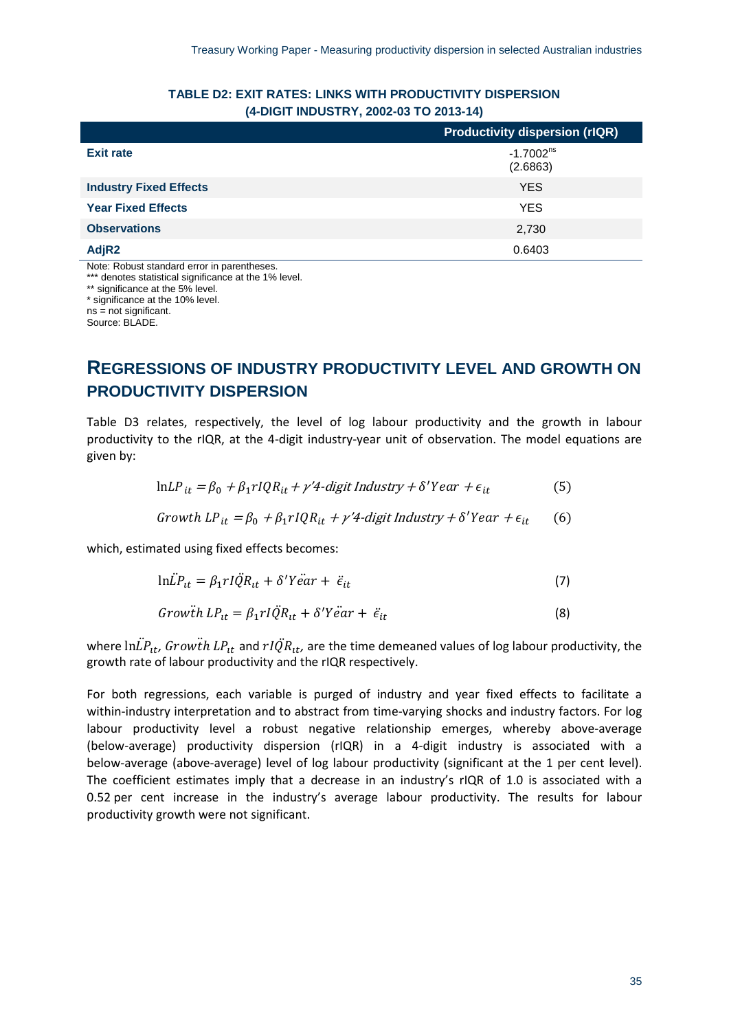| $\frac{1}{2}$ $\frac{1}{2}$ $\frac{1}{2}$ $\frac{1}{2}$ $\frac{1}{2}$ $\frac{1}{2}$ $\frac{1}{2}$ $\frac{1}{2}$ $\frac{1}{2}$ $\frac{1}{2}$ $\frac{1}{2}$ $\frac{1}{2}$ $\frac{1}{2}$ $\frac{1}{2}$ $\frac{1}{2}$ $\frac{1}{2}$ $\frac{1}{2}$ $\frac{1}{2}$ $\frac{1}{2}$ $\frac{1}{2}$ $\frac{1}{2}$ $\frac{1}{2}$ |                                       |  |
|---------------------------------------------------------------------------------------------------------------------------------------------------------------------------------------------------------------------------------------------------------------------------------------------------------------------|---------------------------------------|--|
|                                                                                                                                                                                                                                                                                                                     | <b>Productivity dispersion (rIQR)</b> |  |
| <b>Exit rate</b>                                                                                                                                                                                                                                                                                                    | $-1.7002^{ns}$<br>(2.6863)            |  |
| <b>Industry Fixed Effects</b>                                                                                                                                                                                                                                                                                       | <b>YES</b>                            |  |
| <b>Year Fixed Effects</b>                                                                                                                                                                                                                                                                                           | <b>YES</b>                            |  |
| <b>Observations</b>                                                                                                                                                                                                                                                                                                 | 2,730                                 |  |
| AdjR <sub>2</sub>                                                                                                                                                                                                                                                                                                   | 0.6403                                |  |

### **TABLE D2: EXIT RATES: LINKS WITH PRODUCTIVITY DISPERSION (4-DIGIT INDUSTRY, 2002-03 TO 2013-14)**

Note: Robust standard error in parentheses.

\*\*\* denotes statistical significance at the 1% level.

\*\* significance at the 5% level.

\* significance at the 10% level.

ns = not significant. Source: BLADE.

## **REGRESSIONS OF INDUSTRY PRODUCTIVITY LEVEL AND GROWTH ON PRODUCTIVITY DISPERSION**

Table D3 relates, respectively, the level of log labour productivity and the growth in labour productivity to the rIQR, at the 4-digit industry-year unit of observation. The model equations are given by:

$$
\ln L P_{it} = \beta_0 + \beta_1 r I Q R_{it} + \gamma' 4 \text{-digit Industry} + \delta' Y e a r + \epsilon_{it}
$$
 (5)

$$
Growth LP_{it} = \beta_0 + \beta_1 r IQR_{it} + \gamma' 4\text{-digit Industry} + \delta' Year + \epsilon_{it} \tag{6}
$$

which, estimated using fixed effects becomes:

$$
ln\ddot{L}P_{tt} = \beta_1 r I \ddot{Q}R_{tt} + \delta' Y \ddot{e} ar + \ddot{\epsilon}_{it}
$$
\n(7)

$$
Grow\ddot{t}h\ LP_{tt} = \beta_1 r I \ddot{Q}R_{tt} + \delta' Y \ddot{e}ar + \ddot{\epsilon}_{it}
$$
\n
$$
\tag{8}
$$

where  $ln\ddot{L}P_{tt}$ , Growth  $LP_{tt}$  and  $rI\ddot{Q}R_{tt}$ , are the time demeaned values of log labour productivity, the growth rate of labour productivity and the rIQR respectively.

For both regressions, each variable is purged of industry and year fixed effects to facilitate a within-industry interpretation and to abstract from time-varying shocks and industry factors. For log labour productivity level a robust negative relationship emerges, whereby above-average (below-average) productivity dispersion (rIQR) in a 4-digit industry is associated with a below-average (above-average) level of log labour productivity (significant at the 1 per cent level). The coefficient estimates imply that a decrease in an industry's rIQR of 1.0 is associated with a 0.52 per cent increase in the industry's average labour productivity. The results for labour productivity growth were not significant.